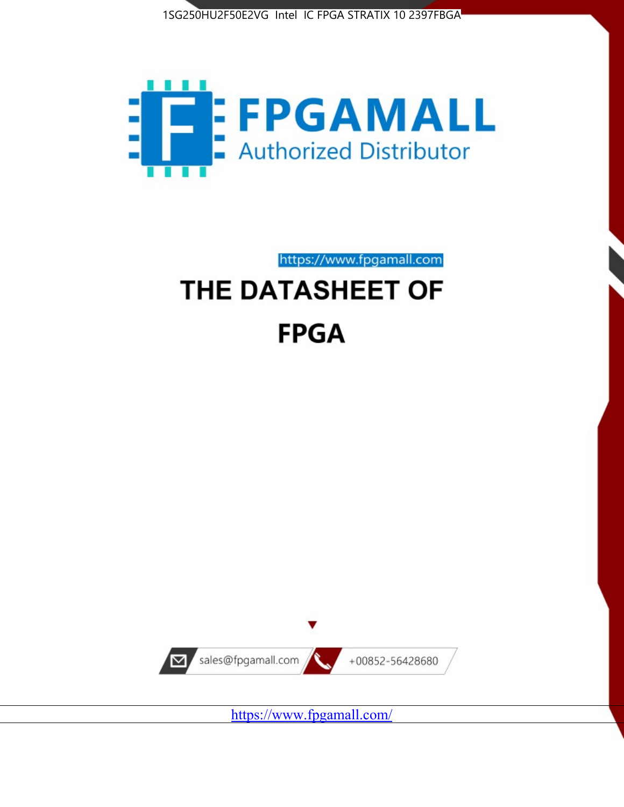



https://www.fpgamall.com

# THE DATASHEET OF **FPGA**



<https://www.fpgamall.com/>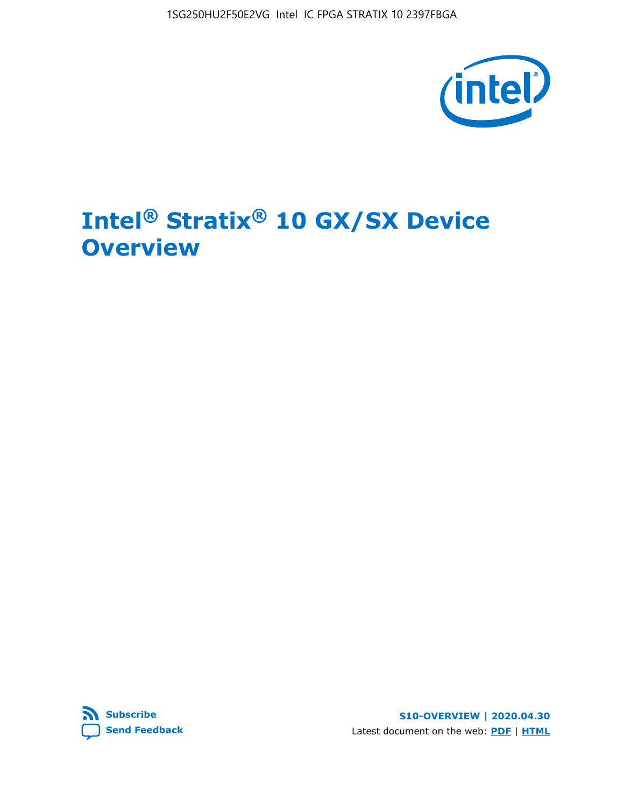

# **Intel® Stratix® 10 GX/SX Device Overview**



**S10-OVERVIEW | 2020.04.30** Latest document on the web: **[PDF](https://www.intel.com/content/dam/www/programmable/us/en/pdfs/literature/hb/stratix-10/s10-overview.pdf)** | **[HTML](https://www.intel.com/content/www/us/en/programmable/documentation/joc1442261161666.html)**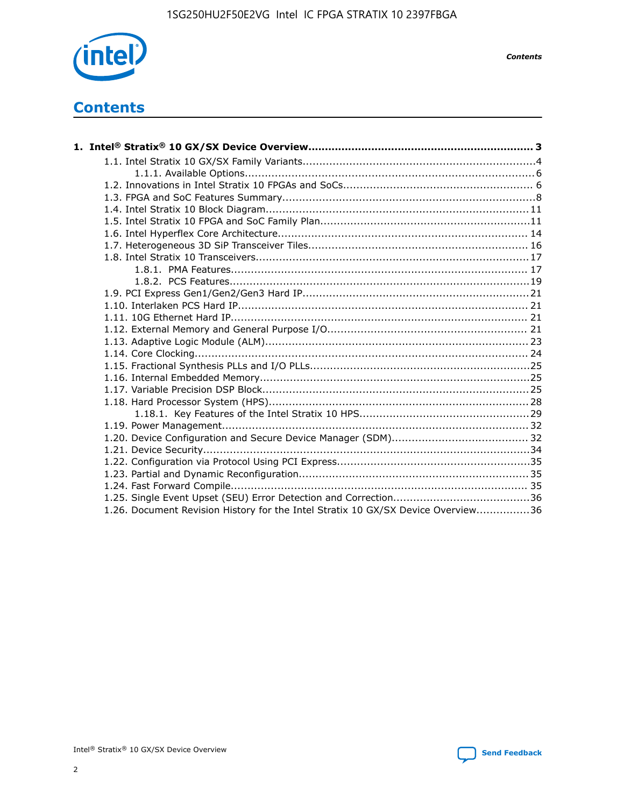

*Contents*

# **Contents**

| 1.26. Document Revision History for the Intel Stratix 10 GX/SX Device Overview36 |  |
|----------------------------------------------------------------------------------|--|

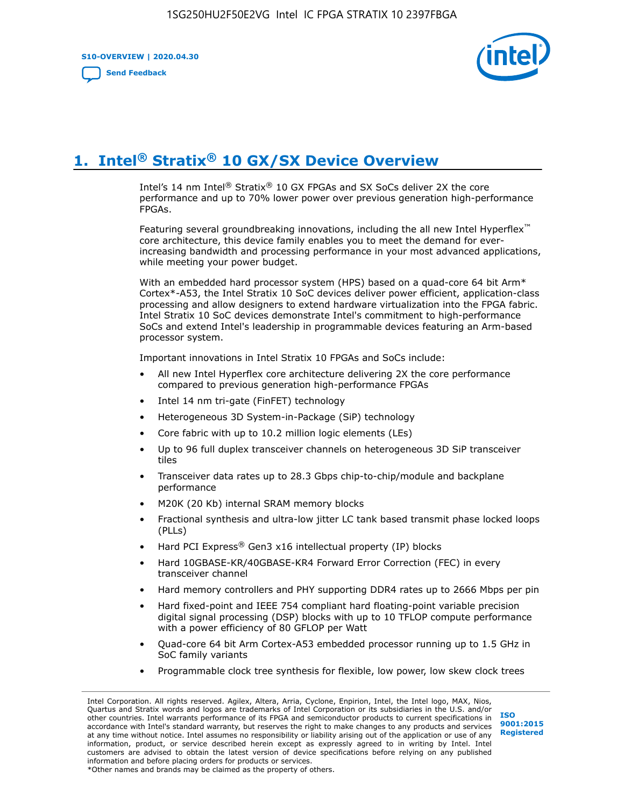**S10-OVERVIEW | 2020.04.30**

**[Send Feedback](mailto:FPGAtechdocfeedback@intel.com?subject=Feedback%20on%20Intel%20Stratix%2010%20GX/SX%20Device%20Overview%20(S10-OVERVIEW%202020.04.30)&body=We%20appreciate%20your%20feedback.%20In%20your%20comments,%20also%20specify%20the%20page%20number%20or%20paragraph.%20Thank%20you.)**



# **1. Intel® Stratix® 10 GX/SX Device Overview**

Intel's 14 nm Intel® Stratix® 10 GX FPGAs and SX SoCs deliver 2X the core performance and up to 70% lower power over previous generation high-performance FPGAs.

Featuring several groundbreaking innovations, including the all new Intel Hyperflex™ core architecture, this device family enables you to meet the demand for everincreasing bandwidth and processing performance in your most advanced applications, while meeting your power budget.

With an embedded hard processor system (HPS) based on a quad-core 64 bit Arm\* Cortex\*-A53, the Intel Stratix 10 SoC devices deliver power efficient, application-class processing and allow designers to extend hardware virtualization into the FPGA fabric. Intel Stratix 10 SoC devices demonstrate Intel's commitment to high-performance SoCs and extend Intel's leadership in programmable devices featuring an Arm-based processor system.

Important innovations in Intel Stratix 10 FPGAs and SoCs include:

- All new Intel Hyperflex core architecture delivering 2X the core performance compared to previous generation high-performance FPGAs
- Intel 14 nm tri-gate (FinFET) technology
- Heterogeneous 3D System-in-Package (SiP) technology
- Core fabric with up to 10.2 million logic elements (LEs)
- Up to 96 full duplex transceiver channels on heterogeneous 3D SiP transceiver tiles
- Transceiver data rates up to 28.3 Gbps chip-to-chip/module and backplane performance
- M20K (20 Kb) internal SRAM memory blocks
- Fractional synthesis and ultra-low jitter LC tank based transmit phase locked loops (PLLs)
- Hard PCI Express<sup>®</sup> Gen3 x16 intellectual property (IP) blocks
- Hard 10GBASE-KR/40GBASE-KR4 Forward Error Correction (FEC) in every transceiver channel
- Hard memory controllers and PHY supporting DDR4 rates up to 2666 Mbps per pin
- Hard fixed-point and IEEE 754 compliant hard floating-point variable precision digital signal processing (DSP) blocks with up to 10 TFLOP compute performance with a power efficiency of 80 GFLOP per Watt
- Quad-core 64 bit Arm Cortex-A53 embedded processor running up to 1.5 GHz in SoC family variants
- Programmable clock tree synthesis for flexible, low power, low skew clock trees

Intel Corporation. All rights reserved. Agilex, Altera, Arria, Cyclone, Enpirion, Intel, the Intel logo, MAX, Nios, Quartus and Stratix words and logos are trademarks of Intel Corporation or its subsidiaries in the U.S. and/or other countries. Intel warrants performance of its FPGA and semiconductor products to current specifications in accordance with Intel's standard warranty, but reserves the right to make changes to any products and services at any time without notice. Intel assumes no responsibility or liability arising out of the application or use of any information, product, or service described herein except as expressly agreed to in writing by Intel. Intel customers are advised to obtain the latest version of device specifications before relying on any published information and before placing orders for products or services. \*Other names and brands may be claimed as the property of others.

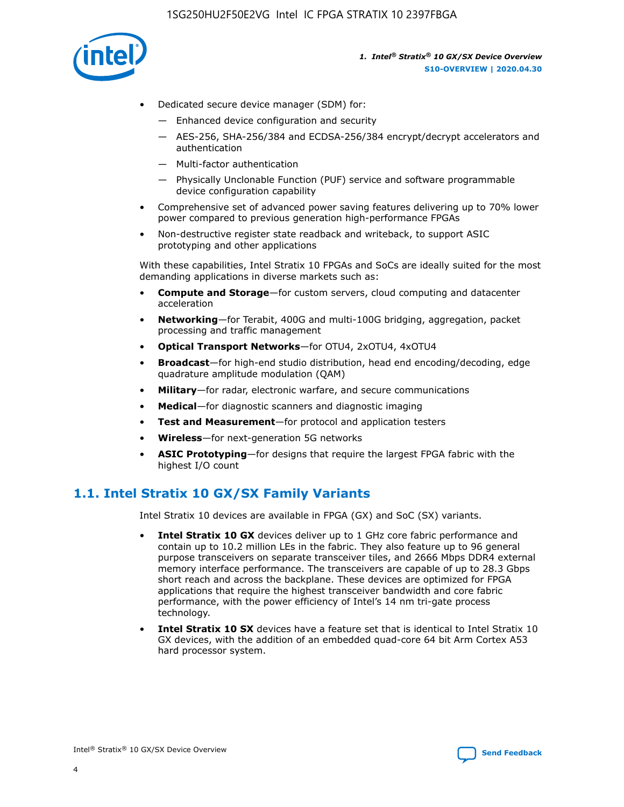

- Dedicated secure device manager (SDM) for:
	- Enhanced device configuration and security
	- AES-256, SHA-256/384 and ECDSA-256/384 encrypt/decrypt accelerators and authentication
	- Multi-factor authentication
	- Physically Unclonable Function (PUF) service and software programmable device configuration capability
- Comprehensive set of advanced power saving features delivering up to 70% lower power compared to previous generation high-performance FPGAs
- Non-destructive register state readback and writeback, to support ASIC prototyping and other applications

With these capabilities, Intel Stratix 10 FPGAs and SoCs are ideally suited for the most demanding applications in diverse markets such as:

- **Compute and Storage**—for custom servers, cloud computing and datacenter acceleration
- **Networking**—for Terabit, 400G and multi-100G bridging, aggregation, packet processing and traffic management
- **Optical Transport Networks**—for OTU4, 2xOTU4, 4xOTU4
- **Broadcast**—for high-end studio distribution, head end encoding/decoding, edge quadrature amplitude modulation (QAM)
- **Military**—for radar, electronic warfare, and secure communications
- **Medical**—for diagnostic scanners and diagnostic imaging
- **Test and Measurement**—for protocol and application testers
- **Wireless**—for next-generation 5G networks
- **ASIC Prototyping**—for designs that require the largest FPGA fabric with the highest I/O count

# **1.1. Intel Stratix 10 GX/SX Family Variants**

Intel Stratix 10 devices are available in FPGA (GX) and SoC (SX) variants.

- **Intel Stratix 10 GX** devices deliver up to 1 GHz core fabric performance and contain up to 10.2 million LEs in the fabric. They also feature up to 96 general purpose transceivers on separate transceiver tiles, and 2666 Mbps DDR4 external memory interface performance. The transceivers are capable of up to 28.3 Gbps short reach and across the backplane. These devices are optimized for FPGA applications that require the highest transceiver bandwidth and core fabric performance, with the power efficiency of Intel's 14 nm tri-gate process technology.
- **Intel Stratix 10 SX** devices have a feature set that is identical to Intel Stratix 10 GX devices, with the addition of an embedded quad-core 64 bit Arm Cortex A53 hard processor system.

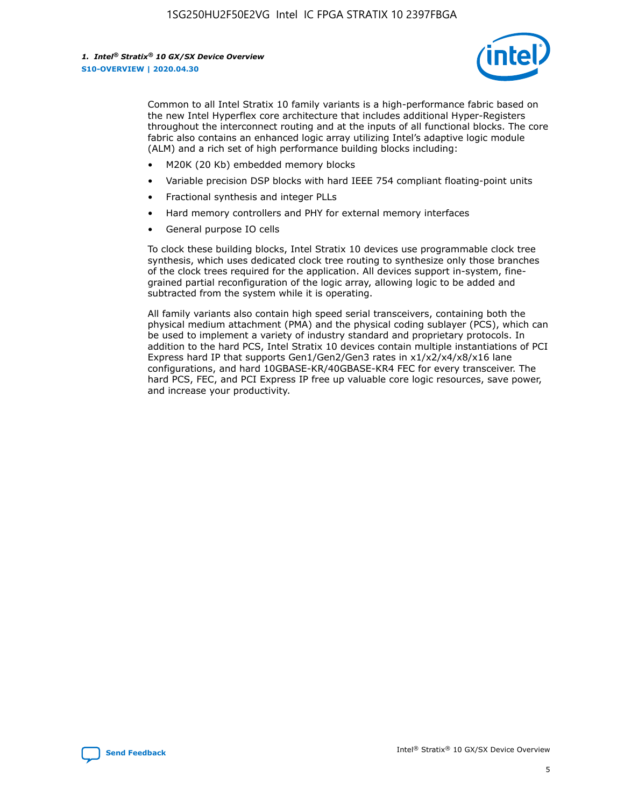

Common to all Intel Stratix 10 family variants is a high-performance fabric based on the new Intel Hyperflex core architecture that includes additional Hyper-Registers throughout the interconnect routing and at the inputs of all functional blocks. The core fabric also contains an enhanced logic array utilizing Intel's adaptive logic module (ALM) and a rich set of high performance building blocks including:

- M20K (20 Kb) embedded memory blocks
- Variable precision DSP blocks with hard IEEE 754 compliant floating-point units
- Fractional synthesis and integer PLLs
- Hard memory controllers and PHY for external memory interfaces
- General purpose IO cells

To clock these building blocks, Intel Stratix 10 devices use programmable clock tree synthesis, which uses dedicated clock tree routing to synthesize only those branches of the clock trees required for the application. All devices support in-system, finegrained partial reconfiguration of the logic array, allowing logic to be added and subtracted from the system while it is operating.

All family variants also contain high speed serial transceivers, containing both the physical medium attachment (PMA) and the physical coding sublayer (PCS), which can be used to implement a variety of industry standard and proprietary protocols. In addition to the hard PCS, Intel Stratix 10 devices contain multiple instantiations of PCI Express hard IP that supports Gen1/Gen2/Gen3 rates in x1/x2/x4/x8/x16 lane configurations, and hard 10GBASE-KR/40GBASE-KR4 FEC for every transceiver. The hard PCS, FEC, and PCI Express IP free up valuable core logic resources, save power, and increase your productivity.

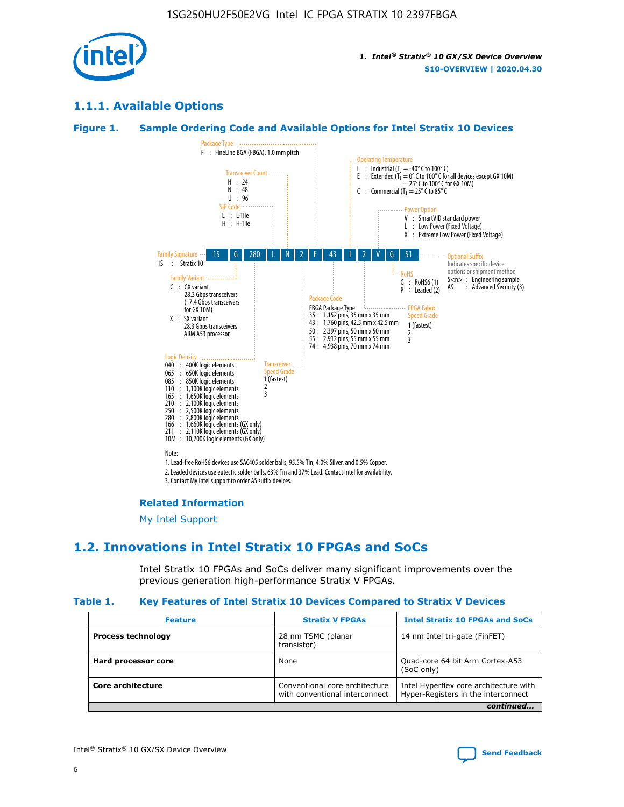

# **1.1.1. Available Options**

#### **Figure 1. Sample Ordering Code and Available Options for Intel Stratix 10 Devices**



# **Related Information**

[My Intel Support](https://www.intel.com/content/www/us/en/programmable/my-intel/mal-home.html)

# **1.2. Innovations in Intel Stratix 10 FPGAs and SoCs**

Intel Stratix 10 FPGAs and SoCs deliver many significant improvements over the previous generation high-performance Stratix V FPGAs.

#### **Table 1. Key Features of Intel Stratix 10 Devices Compared to Stratix V Devices**

| <b>Feature</b>            | <b>Stratix V FPGAs</b>                                           | <b>Intel Stratix 10 FPGAs and SoCs</b>                                        |
|---------------------------|------------------------------------------------------------------|-------------------------------------------------------------------------------|
| <b>Process technology</b> | 28 nm TSMC (planar<br>transistor)                                | 14 nm Intel tri-gate (FinFET)                                                 |
| Hard processor core       | None                                                             | Quad-core 64 bit Arm Cortex-A53<br>(SoC only)                                 |
| Core architecture         | Conventional core architecture<br>with conventional interconnect | Intel Hyperflex core architecture with<br>Hyper-Registers in the interconnect |
|                           |                                                                  | continued                                                                     |

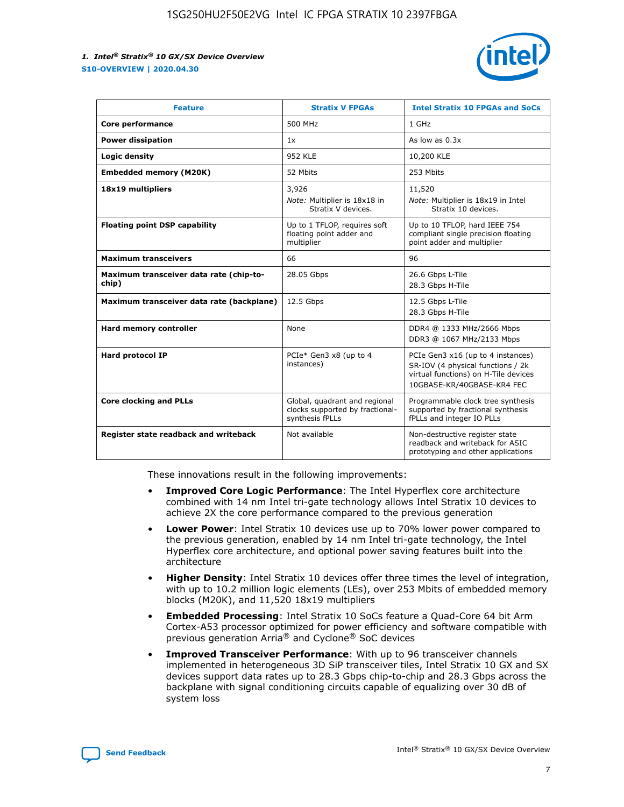

| <b>Feature</b>                                   | <b>Stratix V FPGAs</b>                                                              | <b>Intel Stratix 10 FPGAs and SoCs</b>                                                                                                       |
|--------------------------------------------------|-------------------------------------------------------------------------------------|----------------------------------------------------------------------------------------------------------------------------------------------|
| Core performance                                 | 500 MHz                                                                             | 1 GHz                                                                                                                                        |
| <b>Power dissipation</b>                         | 1x                                                                                  | As low as $0.3x$                                                                                                                             |
| Logic density                                    | 952 KLE                                                                             | 10,200 KLE                                                                                                                                   |
| <b>Embedded memory (M20K)</b>                    | 52 Mbits                                                                            | 253 Mbits                                                                                                                                    |
| 18x19 multipliers                                | 3,926                                                                               | 11,520                                                                                                                                       |
|                                                  | Note: Multiplier is 18x18 in<br>Stratix V devices.                                  | Note: Multiplier is 18x19 in Intel<br>Stratix 10 devices.                                                                                    |
| <b>Floating point DSP capability</b>             | Up to 1 TFLOP, requires soft<br>floating point adder and<br>multiplier              | Up to 10 TFLOP, hard IEEE 754<br>compliant single precision floating<br>point adder and multiplier                                           |
| <b>Maximum transceivers</b>                      | 66                                                                                  | 96                                                                                                                                           |
| Maximum transceiver data rate (chip-to-<br>chip) | 28.05 Gbps                                                                          | 26.6 Gbps L-Tile<br>28.3 Gbps H-Tile                                                                                                         |
| Maximum transceiver data rate (backplane)        | 12.5 Gbps                                                                           | 12.5 Gbps L-Tile<br>28.3 Gbps H-Tile                                                                                                         |
| Hard memory controller                           | None                                                                                | DDR4 @ 1333 MHz/2666 Mbps<br>DDR3 @ 1067 MHz/2133 Mbps                                                                                       |
| <b>Hard protocol IP</b>                          | PCIe* Gen3 x8 (up to 4<br>instances)                                                | PCIe Gen3 x16 (up to 4 instances)<br>SR-IOV (4 physical functions / 2k<br>virtual functions) on H-Tile devices<br>10GBASE-KR/40GBASE-KR4 FEC |
| <b>Core clocking and PLLs</b>                    | Global, quadrant and regional<br>clocks supported by fractional-<br>synthesis fPLLs | Programmable clock tree synthesis<br>supported by fractional synthesis<br>fPLLs and integer IO PLLs                                          |
| Register state readback and writeback            | Not available                                                                       | Non-destructive register state<br>readback and writeback for ASIC<br>prototyping and other applications                                      |

These innovations result in the following improvements:

- **Improved Core Logic Performance**: The Intel Hyperflex core architecture combined with 14 nm Intel tri-gate technology allows Intel Stratix 10 devices to achieve 2X the core performance compared to the previous generation
- **Lower Power**: Intel Stratix 10 devices use up to 70% lower power compared to the previous generation, enabled by 14 nm Intel tri-gate technology, the Intel Hyperflex core architecture, and optional power saving features built into the architecture
- **Higher Density**: Intel Stratix 10 devices offer three times the level of integration, with up to 10.2 million logic elements (LEs), over 253 Mbits of embedded memory blocks (M20K), and 11,520 18x19 multipliers
- **Embedded Processing**: Intel Stratix 10 SoCs feature a Quad-Core 64 bit Arm Cortex-A53 processor optimized for power efficiency and software compatible with previous generation Arria® and Cyclone® SoC devices
- **Improved Transceiver Performance**: With up to 96 transceiver channels implemented in heterogeneous 3D SiP transceiver tiles, Intel Stratix 10 GX and SX devices support data rates up to 28.3 Gbps chip-to-chip and 28.3 Gbps across the backplane with signal conditioning circuits capable of equalizing over 30 dB of system loss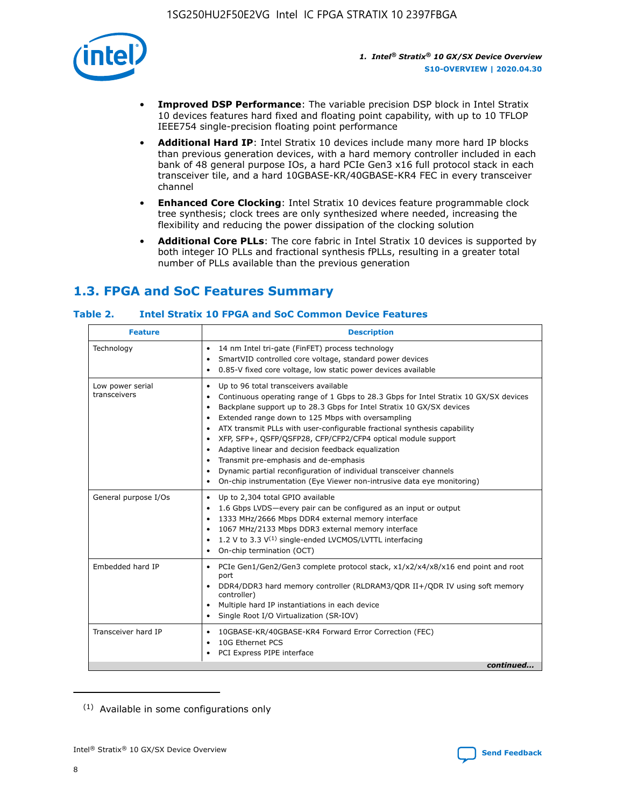

- **Improved DSP Performance**: The variable precision DSP block in Intel Stratix 10 devices features hard fixed and floating point capability, with up to 10 TFLOP IEEE754 single-precision floating point performance
- **Additional Hard IP**: Intel Stratix 10 devices include many more hard IP blocks than previous generation devices, with a hard memory controller included in each bank of 48 general purpose IOs, a hard PCIe Gen3 x16 full protocol stack in each transceiver tile, and a hard 10GBASE-KR/40GBASE-KR4 FEC in every transceiver channel
- **Enhanced Core Clocking**: Intel Stratix 10 devices feature programmable clock tree synthesis; clock trees are only synthesized where needed, increasing the flexibility and reducing the power dissipation of the clocking solution
- **Additional Core PLLs**: The core fabric in Intel Stratix 10 devices is supported by both integer IO PLLs and fractional synthesis fPLLs, resulting in a greater total number of PLLs available than the previous generation

# **1.3. FPGA and SoC Features Summary**

#### **Table 2. Intel Stratix 10 FPGA and SoC Common Device Features**

| <b>Feature</b>                   | <b>Description</b>                                                                                                                                                                                                                                                                                                                                                                                                                                                                                                                                                                                                                                                                                                                                   |  |  |  |
|----------------------------------|------------------------------------------------------------------------------------------------------------------------------------------------------------------------------------------------------------------------------------------------------------------------------------------------------------------------------------------------------------------------------------------------------------------------------------------------------------------------------------------------------------------------------------------------------------------------------------------------------------------------------------------------------------------------------------------------------------------------------------------------------|--|--|--|
| Technology                       | 14 nm Intel tri-gate (FinFET) process technology<br>٠<br>SmartVID controlled core voltage, standard power devices<br>0.85-V fixed core voltage, low static power devices available                                                                                                                                                                                                                                                                                                                                                                                                                                                                                                                                                                   |  |  |  |
| Low power serial<br>transceivers | Up to 96 total transceivers available<br>$\bullet$<br>Continuous operating range of 1 Gbps to 28.3 Gbps for Intel Stratix 10 GX/SX devices<br>$\bullet$<br>Backplane support up to 28.3 Gbps for Intel Stratix 10 GX/SX devices<br>$\bullet$<br>Extended range down to 125 Mbps with oversampling<br>$\bullet$<br>ATX transmit PLLs with user-configurable fractional synthesis capability<br>$\bullet$<br>• XFP, SFP+, OSFP/OSFP28, CFP/CFP2/CFP4 optical module support<br>• Adaptive linear and decision feedback equalization<br>Transmit pre-emphasis and de-emphasis<br>Dynamic partial reconfiguration of individual transceiver channels<br>$\bullet$<br>On-chip instrumentation (Eye Viewer non-intrusive data eye monitoring)<br>$\bullet$ |  |  |  |
| General purpose I/Os             | Up to 2,304 total GPIO available<br>$\bullet$<br>1.6 Gbps LVDS-every pair can be configured as an input or output<br>$\bullet$<br>1333 MHz/2666 Mbps DDR4 external memory interface<br>1067 MHz/2133 Mbps DDR3 external memory interface<br>1.2 V to 3.3 $V^{(1)}$ single-ended LVCMOS/LVTTL interfacing<br>$\bullet$<br>On-chip termination (OCT)<br>$\bullet$                                                                                                                                                                                                                                                                                                                                                                                      |  |  |  |
| Embedded hard IP                 | • PCIe Gen1/Gen2/Gen3 complete protocol stack, $x1/x2/x4/x8/x16$ end point and root<br>port<br>DDR4/DDR3 hard memory controller (RLDRAM3/QDR II+/QDR IV using soft memory<br>controller)<br>Multiple hard IP instantiations in each device<br>$\bullet$<br>• Single Root I/O Virtualization (SR-IOV)                                                                                                                                                                                                                                                                                                                                                                                                                                                 |  |  |  |
| Transceiver hard IP              | 10GBASE-KR/40GBASE-KR4 Forward Error Correction (FEC)<br>$\bullet$<br>10G Ethernet PCS<br>$\bullet$<br>• PCI Express PIPE interface<br>continued                                                                                                                                                                                                                                                                                                                                                                                                                                                                                                                                                                                                     |  |  |  |

<sup>(1)</sup> Available in some configurations only

8

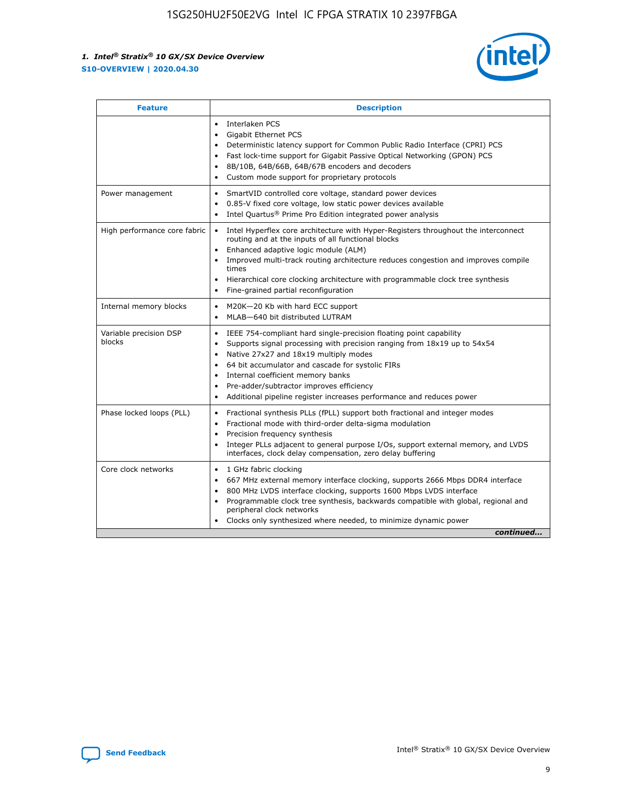

| <b>Feature</b>                   | <b>Description</b>                                                                                                                                                                                                                                                                                                                                                                                                                                                    |
|----------------------------------|-----------------------------------------------------------------------------------------------------------------------------------------------------------------------------------------------------------------------------------------------------------------------------------------------------------------------------------------------------------------------------------------------------------------------------------------------------------------------|
|                                  | Interlaken PCS<br>$\bullet$<br>Gigabit Ethernet PCS<br>$\bullet$<br>Deterministic latency support for Common Public Radio Interface (CPRI) PCS<br>$\bullet$<br>Fast lock-time support for Gigabit Passive Optical Networking (GPON) PCS<br>$\bullet$<br>8B/10B, 64B/66B, 64B/67B encoders and decoders<br>Custom mode support for proprietary protocols                                                                                                               |
| Power management                 | SmartVID controlled core voltage, standard power devices<br>$\bullet$<br>0.85-V fixed core voltage, low static power devices available<br>$\bullet$<br>Intel Quartus <sup>®</sup> Prime Pro Edition integrated power analysis<br>$\bullet$                                                                                                                                                                                                                            |
| High performance core fabric     | Intel Hyperflex core architecture with Hyper-Registers throughout the interconnect<br>routing and at the inputs of all functional blocks<br>Enhanced adaptive logic module (ALM)<br>$\bullet$<br>Improved multi-track routing architecture reduces congestion and improves compile<br>times<br>Hierarchical core clocking architecture with programmable clock tree synthesis<br>$\bullet$<br>Fine-grained partial reconfiguration                                    |
| Internal memory blocks           | M20K-20 Kb with hard ECC support<br>$\bullet$<br>MLAB-640 bit distributed LUTRAM<br>$\bullet$                                                                                                                                                                                                                                                                                                                                                                         |
| Variable precision DSP<br>blocks | IEEE 754-compliant hard single-precision floating point capability<br>$\bullet$<br>Supports signal processing with precision ranging from 18x19 up to 54x54<br>$\bullet$<br>Native 27x27 and 18x19 multiply modes<br>$\bullet$<br>64 bit accumulator and cascade for systolic FIRs<br>Internal coefficient memory banks<br>Pre-adder/subtractor improves efficiency<br>$\bullet$<br>Additional pipeline register increases performance and reduces power<br>$\bullet$ |
| Phase locked loops (PLL)         | Fractional synthesis PLLs (fPLL) support both fractional and integer modes<br>$\bullet$<br>Fractional mode with third-order delta-sigma modulation<br>Precision frequency synthesis<br>$\bullet$<br>Integer PLLs adjacent to general purpose I/Os, support external memory, and LVDS<br>$\bullet$<br>interfaces, clock delay compensation, zero delay buffering                                                                                                       |
| Core clock networks              | 1 GHz fabric clocking<br>$\bullet$<br>667 MHz external memory interface clocking, supports 2666 Mbps DDR4 interface<br>٠<br>800 MHz LVDS interface clocking, supports 1600 Mbps LVDS interface<br>$\bullet$<br>Programmable clock tree synthesis, backwards compatible with global, regional and<br>$\bullet$<br>peripheral clock networks<br>Clocks only synthesized where needed, to minimize dynamic power<br>continued                                            |

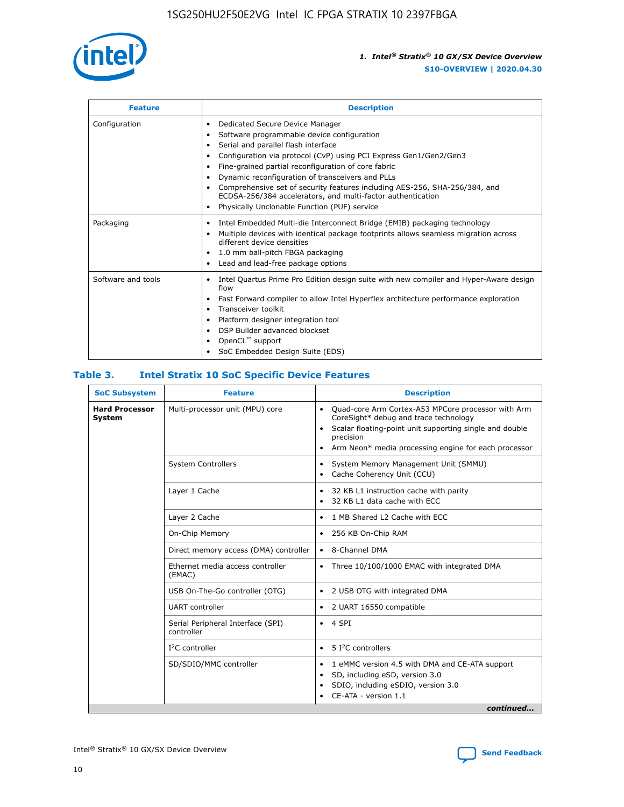

| <b>Feature</b>     | <b>Description</b>                                                                                                                                                                                                                                                                                                                                                                                                                                                                                                                                                   |
|--------------------|----------------------------------------------------------------------------------------------------------------------------------------------------------------------------------------------------------------------------------------------------------------------------------------------------------------------------------------------------------------------------------------------------------------------------------------------------------------------------------------------------------------------------------------------------------------------|
| Configuration      | Dedicated Secure Device Manager<br>$\bullet$<br>Software programmable device configuration<br>٠<br>Serial and parallel flash interface<br>٠<br>Configuration via protocol (CvP) using PCI Express Gen1/Gen2/Gen3<br>٠<br>Fine-grained partial reconfiguration of core fabric<br>$\bullet$<br>Dynamic reconfiguration of transceivers and PLLs<br>$\bullet$<br>Comprehensive set of security features including AES-256, SHA-256/384, and<br>ECDSA-256/384 accelerators, and multi-factor authentication<br>Physically Unclonable Function (PUF) service<br>$\bullet$ |
| Packaging          | Intel Embedded Multi-die Interconnect Bridge (EMIB) packaging technology<br>٠<br>Multiple devices with identical package footprints allows seamless migration across<br>$\bullet$<br>different device densities<br>1.0 mm ball-pitch FBGA packaging<br>$\bullet$<br>Lead and lead-free package options                                                                                                                                                                                                                                                               |
| Software and tools | Intel Quartus Prime Pro Edition design suite with new compiler and Hyper-Aware design<br>flow<br>Fast Forward compiler to allow Intel Hyperflex architecture performance exploration<br>$\bullet$<br>Transceiver toolkit<br>$\bullet$<br>Platform designer integration tool<br>DSP Builder advanced blockset<br>OpenCL <sup>™</sup> support<br>SoC Embedded Design Suite (EDS)                                                                                                                                                                                       |

#### **Table 3. Intel Stratix 10 SoC Specific Device Features**

| <b>SoC Subsystem</b>            | <b>Feature</b>                                  | <b>Description</b>                                                                                                                                                                                                                                                 |
|---------------------------------|-------------------------------------------------|--------------------------------------------------------------------------------------------------------------------------------------------------------------------------------------------------------------------------------------------------------------------|
| <b>Hard Processor</b><br>System | Multi-processor unit (MPU) core                 | Quad-core Arm Cortex-A53 MPCore processor with Arm<br>$\bullet$<br>CoreSight* debug and trace technology<br>Scalar floating-point unit supporting single and double<br>$\bullet$<br>precision<br>Arm Neon* media processing engine for each processor<br>$\bullet$ |
|                                 | <b>System Controllers</b>                       | System Memory Management Unit (SMMU)<br>٠<br>Cache Coherency Unit (CCU)<br>$\bullet$                                                                                                                                                                               |
|                                 | Layer 1 Cache                                   | 32 KB L1 instruction cache with parity<br>$\bullet$<br>32 KB L1 data cache with ECC<br>$\bullet$                                                                                                                                                                   |
|                                 | Layer 2 Cache                                   | 1 MB Shared L2 Cache with ECC<br>$\bullet$                                                                                                                                                                                                                         |
|                                 | On-Chip Memory                                  | 256 KB On-Chip RAM<br>$\bullet$                                                                                                                                                                                                                                    |
|                                 | Direct memory access (DMA) controller           | 8-Channel DMA<br>$\bullet$                                                                                                                                                                                                                                         |
|                                 | Ethernet media access controller<br>(EMAC)      | Three 10/100/1000 EMAC with integrated DMA<br>$\bullet$                                                                                                                                                                                                            |
|                                 | USB On-The-Go controller (OTG)                  | 2 USB OTG with integrated DMA<br>$\bullet$                                                                                                                                                                                                                         |
|                                 | <b>UART</b> controller                          | 2 UART 16550 compatible<br>$\bullet$                                                                                                                                                                                                                               |
|                                 | Serial Peripheral Interface (SPI)<br>controller | 4 SPI<br>$\bullet$                                                                                                                                                                                                                                                 |
|                                 | $I2C$ controller                                | 5 <sup>2</sup> C controllers<br>$\bullet$                                                                                                                                                                                                                          |
|                                 | SD/SDIO/MMC controller                          | 1 eMMC version 4.5 with DMA and CE-ATA support<br>$\bullet$<br>SD, including eSD, version 3.0<br>$\bullet$<br>SDIO, including eSDIO, version 3.0<br>CE-ATA - version 1.1<br>continued                                                                              |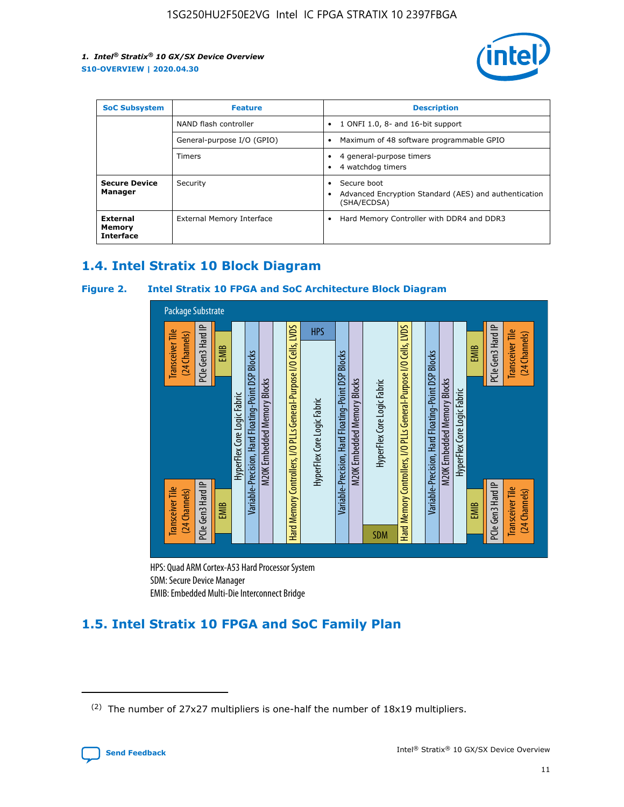

| <b>SoC Subsystem</b>                   | <b>Feature</b>             | <b>Description</b>                                                                                    |
|----------------------------------------|----------------------------|-------------------------------------------------------------------------------------------------------|
|                                        | NAND flash controller      | 1 ONFI 1.0, 8- and 16-bit support<br>$\bullet$                                                        |
|                                        | General-purpose I/O (GPIO) | Maximum of 48 software programmable GPIO<br>$\bullet$                                                 |
|                                        | Timers                     | 4 general-purpose timers<br>4 watchdog timers<br>٠                                                    |
| <b>Secure Device</b><br>Manager        | Security                   | Secure boot<br>$\bullet$<br>Advanced Encryption Standard (AES) and authentication<br>٠<br>(SHA/ECDSA) |
| External<br>Memory<br><b>Interface</b> | External Memory Interface  | Hard Memory Controller with DDR4 and DDR3<br>$\bullet$                                                |

# **1.4. Intel Stratix 10 Block Diagram**

#### **Figure 2. Intel Stratix 10 FPGA and SoC Architecture Block Diagram**



HPS: Quad ARM Cortex-A53 Hard Processor System SDM: Secure Device Manager

# **1.5. Intel Stratix 10 FPGA and SoC Family Plan**

<sup>(2)</sup> The number of 27x27 multipliers is one-half the number of 18x19 multipliers.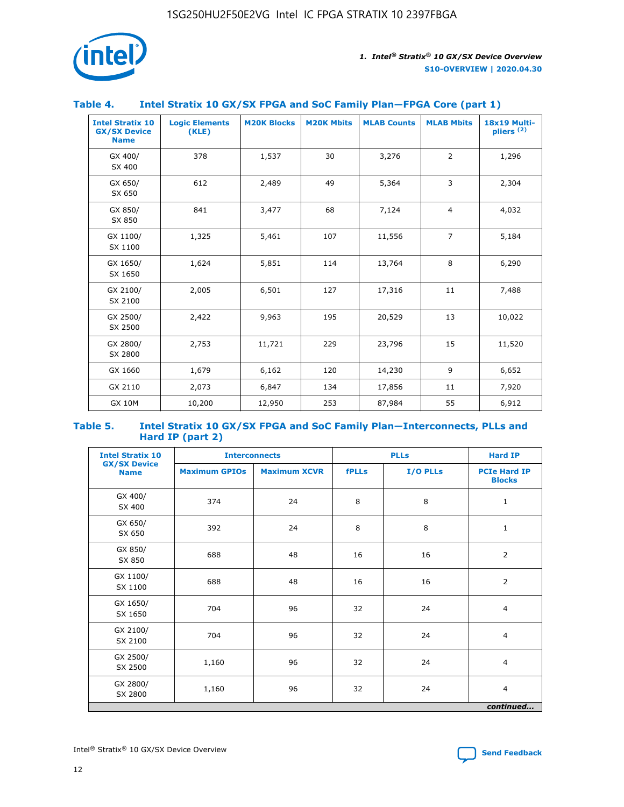

#### **Table 4. Intel Stratix 10 GX/SX FPGA and SoC Family Plan—FPGA Core (part 1)**

| <b>Intel Stratix 10</b><br><b>GX/SX Device</b><br><b>Name</b> | <b>Logic Elements</b><br>(KLE) | <b>M20K Blocks</b> | <b>M20K Mbits</b> | <b>MLAB Counts</b> | <b>MLAB Mbits</b> | 18x19 Multi-<br>pliers <sup>(2)</sup> |
|---------------------------------------------------------------|--------------------------------|--------------------|-------------------|--------------------|-------------------|---------------------------------------|
| GX 400/<br>SX 400                                             | 378                            | 1,537              | 30                | 3,276              | $\overline{2}$    | 1,296                                 |
| GX 650/<br>SX 650                                             | 612                            | 2,489              | 49                | 5,364              | 3                 | 2,304                                 |
| GX 850/<br>SX 850                                             | 841                            | 3,477              | 68                | 7,124              | $\overline{4}$    | 4,032                                 |
| GX 1100/<br>SX 1100                                           | 1,325                          | 5,461              | 107               | 11,556             | $\overline{7}$    | 5,184                                 |
| GX 1650/<br>SX 1650                                           | 1,624                          | 5,851              | 114               | 13,764             | 8                 | 6,290                                 |
| GX 2100/<br>SX 2100                                           | 2,005                          | 6,501              | 127               | 17,316             | 11                | 7,488                                 |
| GX 2500/<br>SX 2500                                           | 2,422                          | 9,963              | 195               | 20,529             | 13                | 10,022                                |
| GX 2800/<br>SX 2800                                           | 2,753                          | 11,721             | 229               | 23,796             | 15                | 11,520                                |
| GX 1660                                                       | 1,679                          | 6,162              | 120               | 14,230             | 9                 | 6,652                                 |
| GX 2110                                                       | 2,073                          | 6,847              | 134               | 17,856             | 11                | 7,920                                 |
| <b>GX 10M</b>                                                 | 10,200                         | 12,950             | 253               | 87,984             | 55                | 6,912                                 |

#### **Table 5. Intel Stratix 10 GX/SX FPGA and SoC Family Plan—Interconnects, PLLs and Hard IP (part 2)**

| <b>Intel Stratix 10</b>            |                      | <b>Interconnects</b> |              | <b>PLLs</b> | <b>Hard IP</b>                       |  |
|------------------------------------|----------------------|----------------------|--------------|-------------|--------------------------------------|--|
| <b>GX/SX Device</b><br><b>Name</b> | <b>Maximum GPIOs</b> | <b>Maximum XCVR</b>  | <b>fPLLs</b> | I/O PLLs    | <b>PCIe Hard IP</b><br><b>Blocks</b> |  |
| GX 400/<br>SX 400                  | 374                  | 24                   | 8            | 8           | $\mathbf{1}$                         |  |
| GX 650/<br>SX 650                  | 392                  | 24                   | 8            | 8           | $\mathbf{1}$                         |  |
| GX 850/<br>SX 850                  | 688                  | 48                   | 16           | 16          | 2                                    |  |
| GX 1100/<br>SX 1100                | 688                  | 48                   | 16           | 16          | $\overline{2}$                       |  |
| GX 1650/<br>SX 1650                | 704                  | 96                   | 32           | 24          | $\overline{4}$                       |  |
| GX 2100/<br>SX 2100                | 704                  | 96                   | 32           | 24          | $\overline{4}$                       |  |
| GX 2500/<br>SX 2500                | 1,160                | 96                   | 32           | 24          | $\overline{4}$                       |  |
| GX 2800/<br>SX 2800                | 1,160                | 96                   | 32           | 24          | $\overline{4}$                       |  |
| continued                          |                      |                      |              |             |                                      |  |

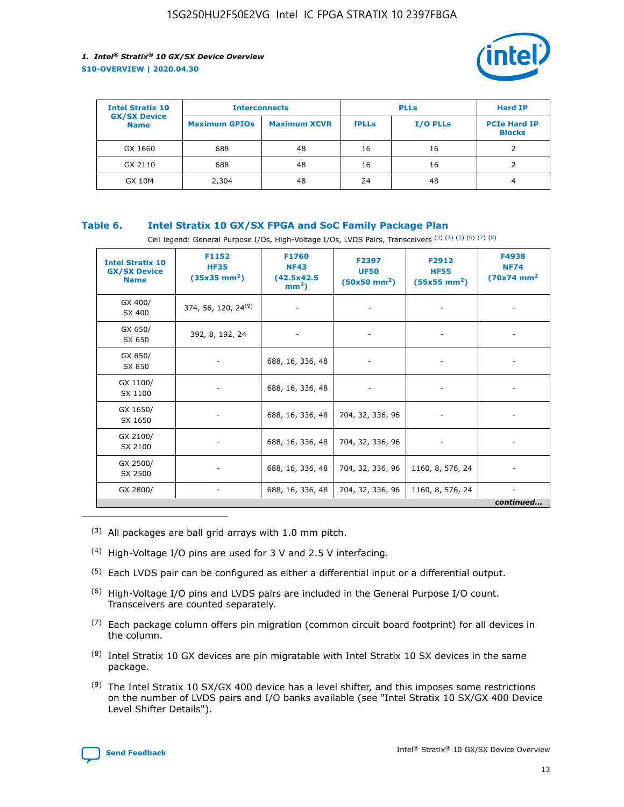

| <b>Intel Stratix 10</b>            | <b>Interconnects</b> |                     | <b>PLLs</b>  |                 | <b>Hard IP</b>                       |
|------------------------------------|----------------------|---------------------|--------------|-----------------|--------------------------------------|
| <b>GX/SX Device</b><br><b>Name</b> | <b>Maximum GPIOs</b> | <b>Maximum XCVR</b> | <b>fPLLs</b> | <b>I/O PLLs</b> | <b>PCIe Hard IP</b><br><b>Blocks</b> |
| GX 1660                            | 688                  | 48                  | 16           | 16              |                                      |
| GX 2110                            | 688                  | 48                  | 16           | 16              |                                      |
| <b>GX 10M</b>                      | 2,304                | 48                  | 24           | 48              | 4                                    |

#### **Table 6. Intel Stratix 10 GX/SX FPGA and SoC Family Package Plan**

Cell legend: General Purpose I/Os, High-Voltage I/Os, LVDS Pairs, Transceivers (3) (4) (5) (6) (7) (8)

| <b>Intel Stratix 10</b><br><b>GX/SX Device</b><br><b>Name</b> | F1152<br><b>HF35</b><br>$(35x35 \text{ mm}^2)$ | <b>F1760</b><br><b>NF43</b><br>(42.5x42.5<br>$mm2$ ) | F2397<br><b>UF50</b><br>$(50x50 \text{ mm}^2)$ | F2912<br><b>HF55</b><br>$(55x55 \text{ mm}^2)$ | F4938<br><b>NF74</b><br>$(70x74)$ mm <sup>2</sup> |
|---------------------------------------------------------------|------------------------------------------------|------------------------------------------------------|------------------------------------------------|------------------------------------------------|---------------------------------------------------|
| GX 400/<br>SX 400                                             | 374, 56, 120, 24 <sup>(9)</sup>                | $\overline{\phantom{a}}$                             | $\overline{\phantom{a}}$                       |                                                |                                                   |
| GX 650/<br>SX 650                                             | 392, 8, 192, 24                                | ٠                                                    | $\overline{\phantom{a}}$                       |                                                |                                                   |
| GX 850/<br>SX 850                                             |                                                | 688, 16, 336, 48                                     |                                                |                                                |                                                   |
| GX 1100/<br>SX 1100                                           |                                                | 688, 16, 336, 48                                     |                                                |                                                |                                                   |
| GX 1650/<br>SX 1650                                           |                                                | 688, 16, 336, 48                                     | 704, 32, 336, 96                               |                                                |                                                   |
| GX 2100/<br>SX 2100                                           |                                                | 688, 16, 336, 48                                     | 704, 32, 336, 96                               | -                                              | ۰                                                 |
| GX 2500/<br>SX 2500                                           |                                                | 688, 16, 336, 48                                     | 704, 32, 336, 96                               | 1160, 8, 576, 24                               |                                                   |
| GX 2800/                                                      | $\overline{\phantom{a}}$                       | 688, 16, 336, 48                                     | 704, 32, 336, 96                               | 1160, 8, 576, 24                               | ٠<br>continued                                    |

- (3) All packages are ball grid arrays with 1.0 mm pitch.
- (4) High-Voltage I/O pins are used for 3 V and 2.5 V interfacing.
- $(5)$  Each LVDS pair can be configured as either a differential input or a differential output.
- (6) High-Voltage I/O pins and LVDS pairs are included in the General Purpose I/O count. Transceivers are counted separately.
- $(7)$  Each package column offers pin migration (common circuit board footprint) for all devices in the column.
- $(8)$  Intel Stratix 10 GX devices are pin migratable with Intel Stratix 10 SX devices in the same package.
- $(9)$  The Intel Stratix 10 SX/GX 400 device has a level shifter, and this imposes some restrictions on the number of LVDS pairs and I/O banks available (see "Intel Stratix 10 SX/GX 400 Device Level Shifter Details").

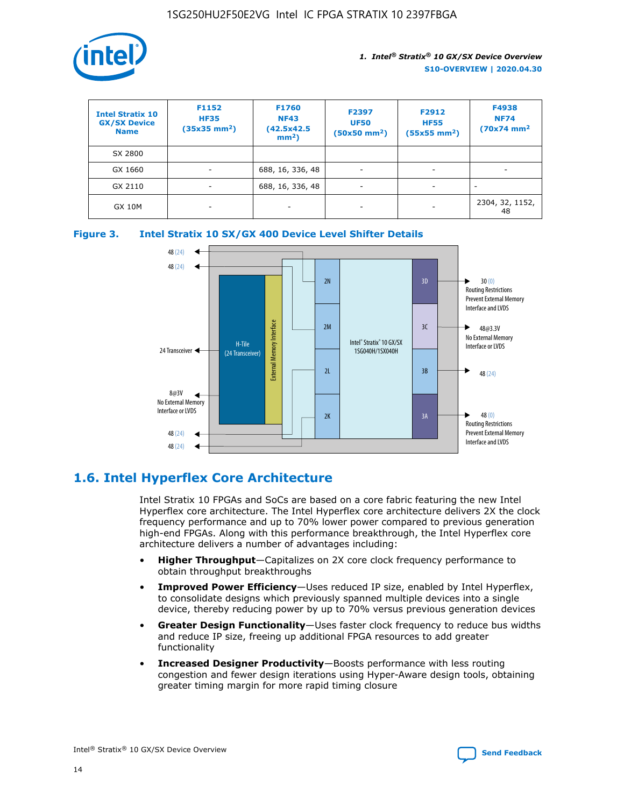

| <b>Intel Stratix 10</b><br><b>GX/SX Device</b><br><b>Name</b> | F1152<br><b>HF35</b><br>$(35x35)$ mm <sup>2</sup> ) | F1760<br><b>NF43</b><br>(42.5x42.5<br>$mm2$ ) | F2397<br><b>UF50</b><br>$(50x50 \text{ mm}^2)$ | F2912<br><b>HF55</b><br>$(55x55$ mm <sup>2</sup> ) | F4938<br><b>NF74</b><br>$(70x74)$ mm <sup>2</sup> |
|---------------------------------------------------------------|-----------------------------------------------------|-----------------------------------------------|------------------------------------------------|----------------------------------------------------|---------------------------------------------------|
| SX 2800                                                       |                                                     |                                               |                                                |                                                    |                                                   |
| GX 1660                                                       | -                                                   | 688, 16, 336, 48                              | $\overline{\phantom{a}}$                       |                                                    |                                                   |
| GX 2110                                                       |                                                     | 688, 16, 336, 48                              | $\overline{\phantom{a}}$                       |                                                    |                                                   |
| <b>GX 10M</b>                                                 | ۰                                                   |                                               |                                                |                                                    | 2304, 32, 1152,<br>48                             |





# **1.6. Intel Hyperflex Core Architecture**

Intel Stratix 10 FPGAs and SoCs are based on a core fabric featuring the new Intel Hyperflex core architecture. The Intel Hyperflex core architecture delivers 2X the clock frequency performance and up to 70% lower power compared to previous generation high-end FPGAs. Along with this performance breakthrough, the Intel Hyperflex core architecture delivers a number of advantages including:

- **Higher Throughput**—Capitalizes on 2X core clock frequency performance to obtain throughput breakthroughs
- **Improved Power Efficiency**—Uses reduced IP size, enabled by Intel Hyperflex, to consolidate designs which previously spanned multiple devices into a single device, thereby reducing power by up to 70% versus previous generation devices
- **Greater Design Functionality**—Uses faster clock frequency to reduce bus widths and reduce IP size, freeing up additional FPGA resources to add greater functionality
- **Increased Designer Productivity**—Boosts performance with less routing congestion and fewer design iterations using Hyper-Aware design tools, obtaining greater timing margin for more rapid timing closure

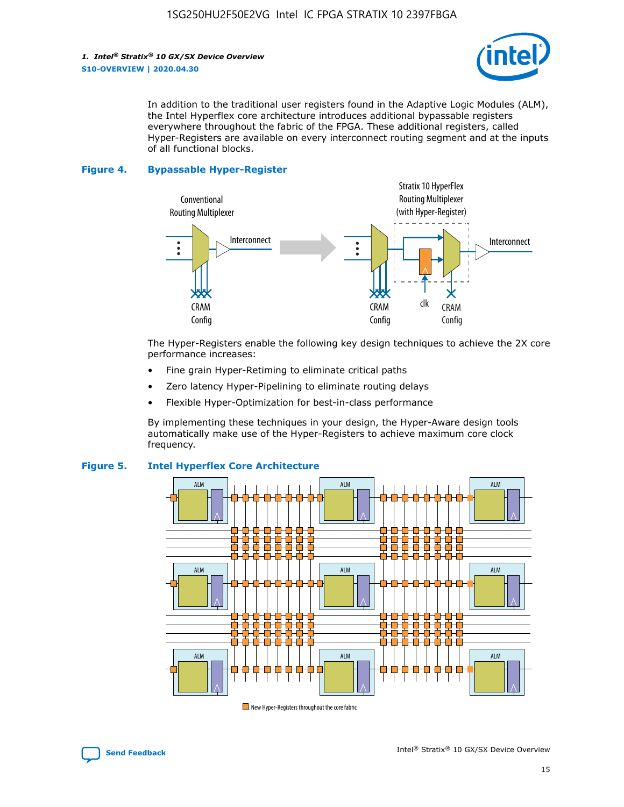

In addition to the traditional user registers found in the Adaptive Logic Modules (ALM), the Intel Hyperflex core architecture introduces additional bypassable registers everywhere throughout the fabric of the FPGA. These additional registers, called Hyper-Registers are available on every interconnect routing segment and at the inputs of all functional blocks.

#### **Figure 4. Bypassable Hyper-Register**



The Hyper-Registers enable the following key design techniques to achieve the 2X core performance increases:

- Fine grain Hyper-Retiming to eliminate critical paths
- Zero latency Hyper-Pipelining to eliminate routing delays
- Flexible Hyper-Optimization for best-in-class performance

By implementing these techniques in your design, the Hyper-Aware design tools automatically make use of the Hyper-Registers to achieve maximum core clock frequency.



#### **Figure 5. Intel Hyperflex Core Architecture**

New Hyper-Registers throughout the core fabric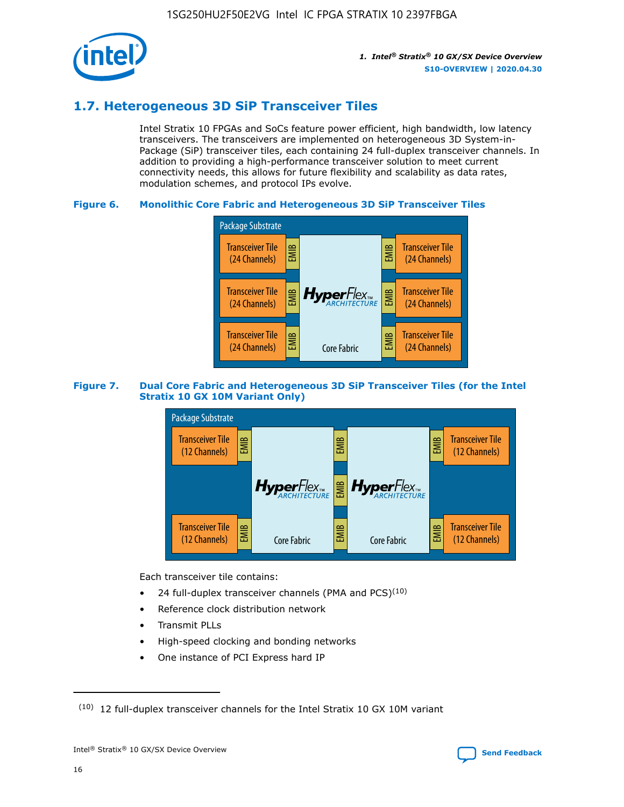

# **1.7. Heterogeneous 3D SiP Transceiver Tiles**

Intel Stratix 10 FPGAs and SoCs feature power efficient, high bandwidth, low latency transceivers. The transceivers are implemented on heterogeneous 3D System-in-Package (SiP) transceiver tiles, each containing 24 full-duplex transceiver channels. In addition to providing a high-performance transceiver solution to meet current connectivity needs, this allows for future flexibility and scalability as data rates, modulation schemes, and protocol IPs evolve.

#### **Figure 6. Monolithic Core Fabric and Heterogeneous 3D SiP Transceiver Tiles**



#### **Figure 7. Dual Core Fabric and Heterogeneous 3D SiP Transceiver Tiles (for the Intel Stratix 10 GX 10M Variant Only)**



Each transceiver tile contains:

- 24 full-duplex transceiver channels (PMA and PCS) $(10)$
- Reference clock distribution network
- Transmit PLLs
- High-speed clocking and bonding networks
- One instance of PCI Express hard IP

16

 $(10)$  12 full-duplex transceiver channels for the Intel Stratix 10 GX 10M variant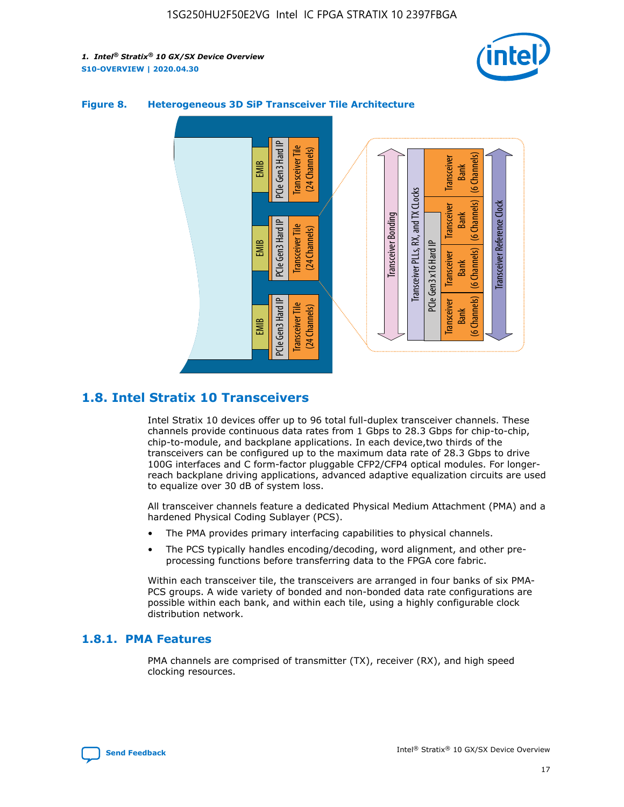



#### **Figure 8. Heterogeneous 3D SiP Transceiver Tile Architecture**

# **1.8. Intel Stratix 10 Transceivers**

Intel Stratix 10 devices offer up to 96 total full-duplex transceiver channels. These channels provide continuous data rates from 1 Gbps to 28.3 Gbps for chip-to-chip, chip-to-module, and backplane applications. In each device,two thirds of the transceivers can be configured up to the maximum data rate of 28.3 Gbps to drive 100G interfaces and C form-factor pluggable CFP2/CFP4 optical modules. For longerreach backplane driving applications, advanced adaptive equalization circuits are used to equalize over 30 dB of system loss.

All transceiver channels feature a dedicated Physical Medium Attachment (PMA) and a hardened Physical Coding Sublayer (PCS).

- The PMA provides primary interfacing capabilities to physical channels.
- The PCS typically handles encoding/decoding, word alignment, and other preprocessing functions before transferring data to the FPGA core fabric.

Within each transceiver tile, the transceivers are arranged in four banks of six PMA-PCS groups. A wide variety of bonded and non-bonded data rate configurations are possible within each bank, and within each tile, using a highly configurable clock distribution network.

#### **1.8.1. PMA Features**

PMA channels are comprised of transmitter (TX), receiver (RX), and high speed clocking resources.

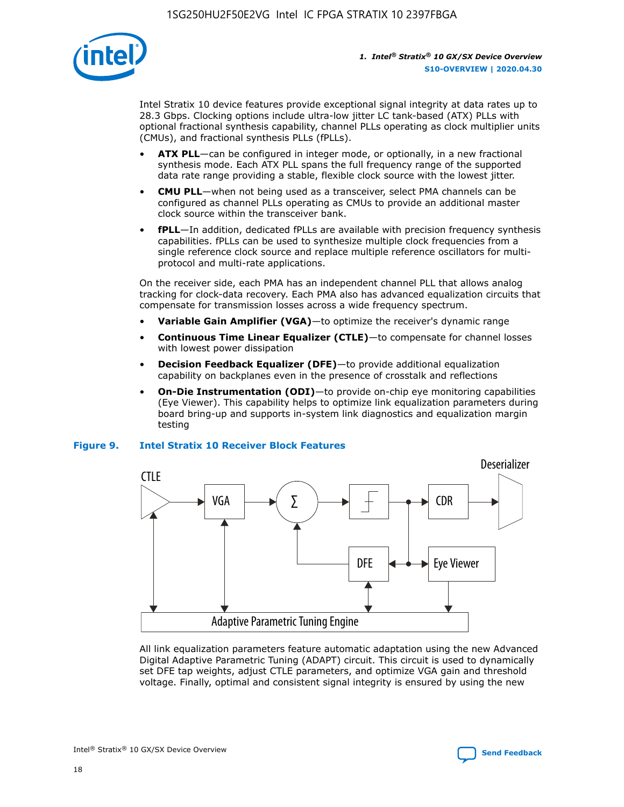

Intel Stratix 10 device features provide exceptional signal integrity at data rates up to 28.3 Gbps. Clocking options include ultra-low jitter LC tank-based (ATX) PLLs with optional fractional synthesis capability, channel PLLs operating as clock multiplier units (CMUs), and fractional synthesis PLLs (fPLLs).

- **ATX PLL**—can be configured in integer mode, or optionally, in a new fractional synthesis mode. Each ATX PLL spans the full frequency range of the supported data rate range providing a stable, flexible clock source with the lowest jitter.
- **CMU PLL**—when not being used as a transceiver, select PMA channels can be configured as channel PLLs operating as CMUs to provide an additional master clock source within the transceiver bank.
- **fPLL**—In addition, dedicated fPLLs are available with precision frequency synthesis capabilities. fPLLs can be used to synthesize multiple clock frequencies from a single reference clock source and replace multiple reference oscillators for multiprotocol and multi-rate applications.

On the receiver side, each PMA has an independent channel PLL that allows analog tracking for clock-data recovery. Each PMA also has advanced equalization circuits that compensate for transmission losses across a wide frequency spectrum.

- **Variable Gain Amplifier (VGA)**—to optimize the receiver's dynamic range
- **Continuous Time Linear Equalizer (CTLE)**—to compensate for channel losses with lowest power dissipation
- **Decision Feedback Equalizer (DFE)**—to provide additional equalization capability on backplanes even in the presence of crosstalk and reflections
- **On-Die Instrumentation (ODI)**—to provide on-chip eye monitoring capabilities (Eye Viewer). This capability helps to optimize link equalization parameters during board bring-up and supports in-system link diagnostics and equalization margin testing

#### **Figure 9. Intel Stratix 10 Receiver Block Features**



All link equalization parameters feature automatic adaptation using the new Advanced Digital Adaptive Parametric Tuning (ADAPT) circuit. This circuit is used to dynamically set DFE tap weights, adjust CTLE parameters, and optimize VGA gain and threshold voltage. Finally, optimal and consistent signal integrity is ensured by using the new

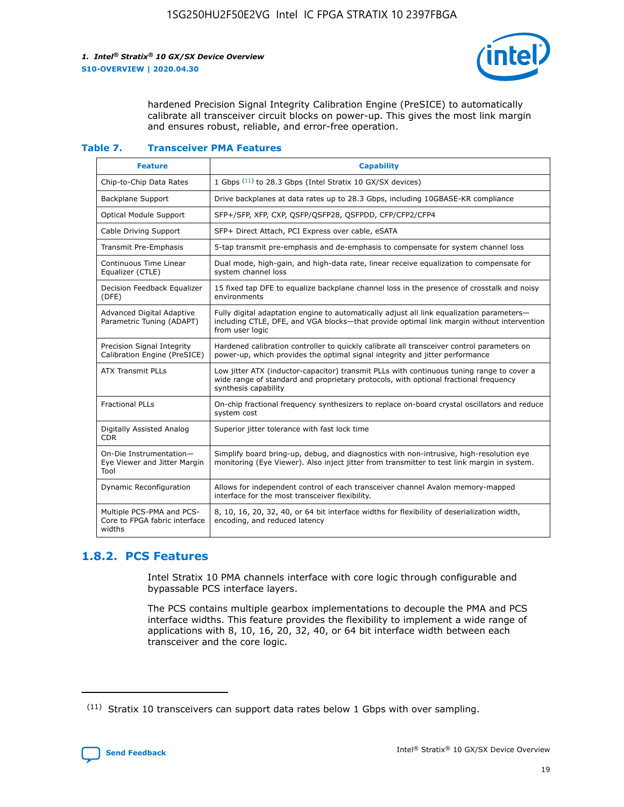

hardened Precision Signal Integrity Calibration Engine (PreSICE) to automatically calibrate all transceiver circuit blocks on power-up. This gives the most link margin and ensures robust, reliable, and error-free operation.

#### **Table 7. Transceiver PMA Features**

| <b>Feature</b>                                                       | <b>Capability</b>                                                                                                                                                                                         |
|----------------------------------------------------------------------|-----------------------------------------------------------------------------------------------------------------------------------------------------------------------------------------------------------|
| Chip-to-Chip Data Rates                                              | 1 Gbps (11) to 28.3 Gbps (Intel Stratix 10 GX/SX devices)                                                                                                                                                 |
| <b>Backplane Support</b>                                             | Drive backplanes at data rates up to 28.3 Gbps, including 10GBASE-KR compliance                                                                                                                           |
| Optical Module Support                                               | SFP+/SFP, XFP, CXP, QSFP/QSFP28, QSFPDD, CFP/CFP2/CFP4                                                                                                                                                    |
| Cable Driving Support                                                | SFP+ Direct Attach, PCI Express over cable, eSATA                                                                                                                                                         |
| <b>Transmit Pre-Emphasis</b>                                         | 5-tap transmit pre-emphasis and de-emphasis to compensate for system channel loss                                                                                                                         |
| Continuous Time Linear<br>Equalizer (CTLE)                           | Dual mode, high-gain, and high-data rate, linear receive equalization to compensate for<br>system channel loss                                                                                            |
| Decision Feedback Equalizer<br>(DFE)                                 | 15 fixed tap DFE to equalize backplane channel loss in the presence of crosstalk and noisy<br>environments                                                                                                |
| Advanced Digital Adaptive<br>Parametric Tuning (ADAPT)               | Fully digital adaptation engine to automatically adjust all link equalization parameters-<br>including CTLE, DFE, and VGA blocks—that provide optimal link margin without intervention<br>from user logic |
| Precision Signal Integrity<br>Calibration Engine (PreSICE)           | Hardened calibration controller to quickly calibrate all transceiver control parameters on<br>power-up, which provides the optimal signal integrity and jitter performance                                |
| <b>ATX Transmit PLLs</b>                                             | Low jitter ATX (inductor-capacitor) transmit PLLs with continuous tuning range to cover a<br>wide range of standard and proprietary protocols, with optional fractional frequency<br>synthesis capability |
| <b>Fractional PLLs</b>                                               | On-chip fractional frequency synthesizers to replace on-board crystal oscillators and reduce<br>system cost                                                                                               |
| Digitally Assisted Analog<br>CDR.                                    | Superior jitter tolerance with fast lock time                                                                                                                                                             |
| On-Die Instrumentation-<br>Eye Viewer and Jitter Margin<br>Tool      | Simplify board bring-up, debug, and diagnostics with non-intrusive, high-resolution eye<br>monitoring (Eye Viewer). Also inject jitter from transmitter to test link margin in system.                    |
| Dynamic Reconfiguration                                              | Allows for independent control of each transceiver channel Avalon memory-mapped<br>interface for the most transceiver flexibility.                                                                        |
| Multiple PCS-PMA and PCS-<br>Core to FPGA fabric interface<br>widths | 8, 10, 16, 20, 32, 40, or 64 bit interface widths for flexibility of deserialization width,<br>encoding, and reduced latency                                                                              |

### **1.8.2. PCS Features**

Intel Stratix 10 PMA channels interface with core logic through configurable and bypassable PCS interface layers.

The PCS contains multiple gearbox implementations to decouple the PMA and PCS interface widths. This feature provides the flexibility to implement a wide range of applications with 8, 10, 16, 20, 32, 40, or 64 bit interface width between each transceiver and the core logic.

 $(11)$  Stratix 10 transceivers can support data rates below 1 Gbps with over sampling.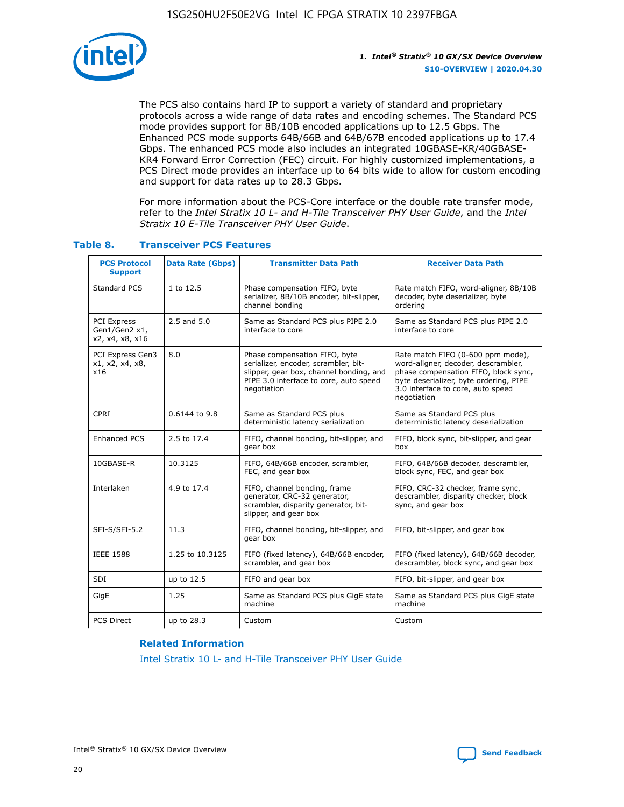

The PCS also contains hard IP to support a variety of standard and proprietary protocols across a wide range of data rates and encoding schemes. The Standard PCS mode provides support for 8B/10B encoded applications up to 12.5 Gbps. The Enhanced PCS mode supports 64B/66B and 64B/67B encoded applications up to 17.4 Gbps. The enhanced PCS mode also includes an integrated 10GBASE-KR/40GBASE-KR4 Forward Error Correction (FEC) circuit. For highly customized implementations, a PCS Direct mode provides an interface up to 64 bits wide to allow for custom encoding and support for data rates up to 28.3 Gbps.

For more information about the PCS-Core interface or the double rate transfer mode, refer to the *Intel Stratix 10 L- and H-Tile Transceiver PHY User Guide*, and the *Intel Stratix 10 E-Tile Transceiver PHY User Guide*.

| <b>PCS Protocol</b><br><b>Support</b>           | <b>Data Rate (Gbps)</b>                                     | <b>Transmitter Data Path</b>                                                                                                                                              | <b>Receiver Data Path</b>                                                                                                                                                                                      |
|-------------------------------------------------|-------------------------------------------------------------|---------------------------------------------------------------------------------------------------------------------------------------------------------------------------|----------------------------------------------------------------------------------------------------------------------------------------------------------------------------------------------------------------|
| Standard PCS                                    | 1 to 12.5                                                   | Phase compensation FIFO, byte<br>serializer, 8B/10B encoder, bit-slipper,<br>channel bonding                                                                              | Rate match FIFO, word-aligner, 8B/10B<br>decoder, byte deserializer, byte<br>ordering                                                                                                                          |
| PCI Express<br>Gen1/Gen2 x1,<br>x2, x4, x8, x16 | $2.5$ and $5.0$                                             | Same as Standard PCS plus PIPE 2.0<br>interface to core                                                                                                                   | Same as Standard PCS plus PIPE 2.0<br>interface to core                                                                                                                                                        |
| PCI Express Gen3<br>x1, x2, x4, x8,<br>x16      | 8.0                                                         | Phase compensation FIFO, byte<br>serializer, encoder, scrambler, bit-<br>slipper, gear box, channel bonding, and<br>PIPE 3.0 interface to core, auto speed<br>negotiation | Rate match FIFO (0-600 ppm mode),<br>word-aligner, decoder, descrambler,<br>phase compensation FIFO, block sync,<br>byte deserializer, byte ordering, PIPE<br>3.0 interface to core, auto speed<br>negotiation |
| CPRI                                            | 0.6144 to 9.8                                               | Same as Standard PCS plus<br>deterministic latency serialization                                                                                                          | Same as Standard PCS plus<br>deterministic latency deserialization                                                                                                                                             |
| <b>Enhanced PCS</b>                             | 2.5 to 17.4                                                 | FIFO, channel bonding, bit-slipper, and<br>gear box                                                                                                                       | FIFO, block sync, bit-slipper, and gear<br>box                                                                                                                                                                 |
| 10GBASE-R                                       | 10.3125                                                     | FIFO, 64B/66B encoder, scrambler,<br>FEC, and gear box                                                                                                                    | FIFO, 64B/66B decoder, descrambler,<br>block sync, FEC, and gear box                                                                                                                                           |
| Interlaken                                      | 4.9 to 17.4                                                 | FIFO, channel bonding, frame<br>generator, CRC-32 generator,<br>scrambler, disparity generator, bit-<br>slipper, and gear box                                             | FIFO, CRC-32 checker, frame sync,<br>descrambler, disparity checker, block<br>sync, and gear box                                                                                                               |
| SFI-S/SFI-5.2                                   | 11.3<br>FIFO, channel bonding, bit-slipper, and<br>gear box |                                                                                                                                                                           | FIFO, bit-slipper, and gear box                                                                                                                                                                                |
| <b>IEEE 1588</b>                                | 1.25 to 10.3125                                             | FIFO (fixed latency), 64B/66B encoder,<br>scrambler, and gear box                                                                                                         | FIFO (fixed latency), 64B/66B decoder,<br>descrambler, block sync, and gear box                                                                                                                                |
| SDI                                             | up to 12.5                                                  | FIFO and gear box                                                                                                                                                         | FIFO, bit-slipper, and gear box                                                                                                                                                                                |
| GigE                                            | 1.25                                                        | Same as Standard PCS plus GigE state<br>machine                                                                                                                           | Same as Standard PCS plus GigE state<br>machine                                                                                                                                                                |
| <b>PCS Direct</b>                               | up to 28.3                                                  | Custom                                                                                                                                                                    | Custom                                                                                                                                                                                                         |

#### **Table 8. Transceiver PCS Features**

#### **Related Information**

[Intel Stratix 10 L- and H-Tile Transceiver PHY User Guide](https://www.altera.com/documentation/wry1479165198810.html)

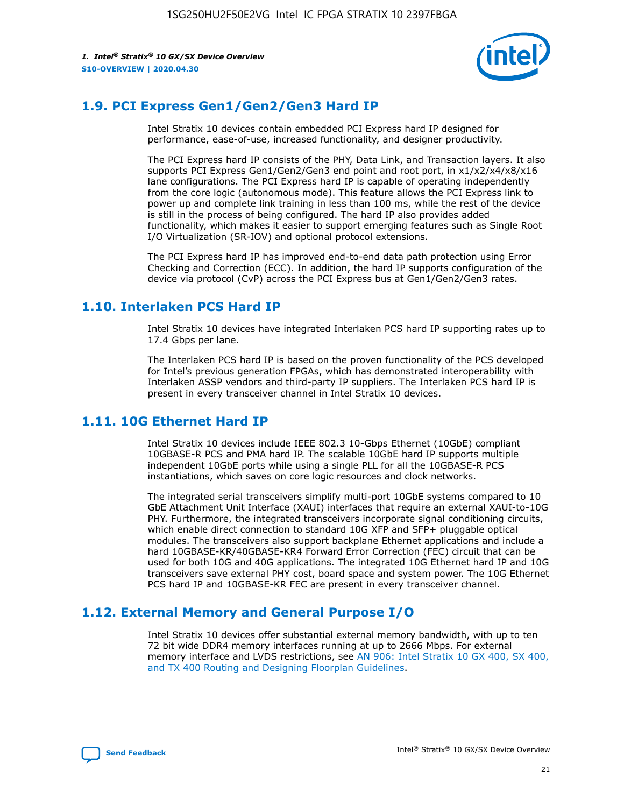

# **1.9. PCI Express Gen1/Gen2/Gen3 Hard IP**

Intel Stratix 10 devices contain embedded PCI Express hard IP designed for performance, ease-of-use, increased functionality, and designer productivity.

The PCI Express hard IP consists of the PHY, Data Link, and Transaction layers. It also supports PCI Express Gen1/Gen2/Gen3 end point and root port, in x1/x2/x4/x8/x16 lane configurations. The PCI Express hard IP is capable of operating independently from the core logic (autonomous mode). This feature allows the PCI Express link to power up and complete link training in less than 100 ms, while the rest of the device is still in the process of being configured. The hard IP also provides added functionality, which makes it easier to support emerging features such as Single Root I/O Virtualization (SR-IOV) and optional protocol extensions.

The PCI Express hard IP has improved end-to-end data path protection using Error Checking and Correction (ECC). In addition, the hard IP supports configuration of the device via protocol (CvP) across the PCI Express bus at Gen1/Gen2/Gen3 rates.

# **1.10. Interlaken PCS Hard IP**

Intel Stratix 10 devices have integrated Interlaken PCS hard IP supporting rates up to 17.4 Gbps per lane.

The Interlaken PCS hard IP is based on the proven functionality of the PCS developed for Intel's previous generation FPGAs, which has demonstrated interoperability with Interlaken ASSP vendors and third-party IP suppliers. The Interlaken PCS hard IP is present in every transceiver channel in Intel Stratix 10 devices.

# **1.11. 10G Ethernet Hard IP**

Intel Stratix 10 devices include IEEE 802.3 10-Gbps Ethernet (10GbE) compliant 10GBASE-R PCS and PMA hard IP. The scalable 10GbE hard IP supports multiple independent 10GbE ports while using a single PLL for all the 10GBASE-R PCS instantiations, which saves on core logic resources and clock networks.

The integrated serial transceivers simplify multi-port 10GbE systems compared to 10 GbE Attachment Unit Interface (XAUI) interfaces that require an external XAUI-to-10G PHY. Furthermore, the integrated transceivers incorporate signal conditioning circuits, which enable direct connection to standard 10G XFP and SFP+ pluggable optical modules. The transceivers also support backplane Ethernet applications and include a hard 10GBASE-KR/40GBASE-KR4 Forward Error Correction (FEC) circuit that can be used for both 10G and 40G applications. The integrated 10G Ethernet hard IP and 10G transceivers save external PHY cost, board space and system power. The 10G Ethernet PCS hard IP and 10GBASE-KR FEC are present in every transceiver channel.

# **1.12. External Memory and General Purpose I/O**

Intel Stratix 10 devices offer substantial external memory bandwidth, with up to ten 72 bit wide DDR4 memory interfaces running at up to 2666 Mbps. For external memory interface and LVDS restrictions, see [AN 906: Intel Stratix 10 GX 400, SX 400,](https://www.intel.com/content/www/us/en/programmable/documentation/sjf1574667190623.html#bft1574667627484) [and TX 400 Routing and Designing Floorplan Guidelines.](https://www.intel.com/content/www/us/en/programmable/documentation/sjf1574667190623.html#bft1574667627484)

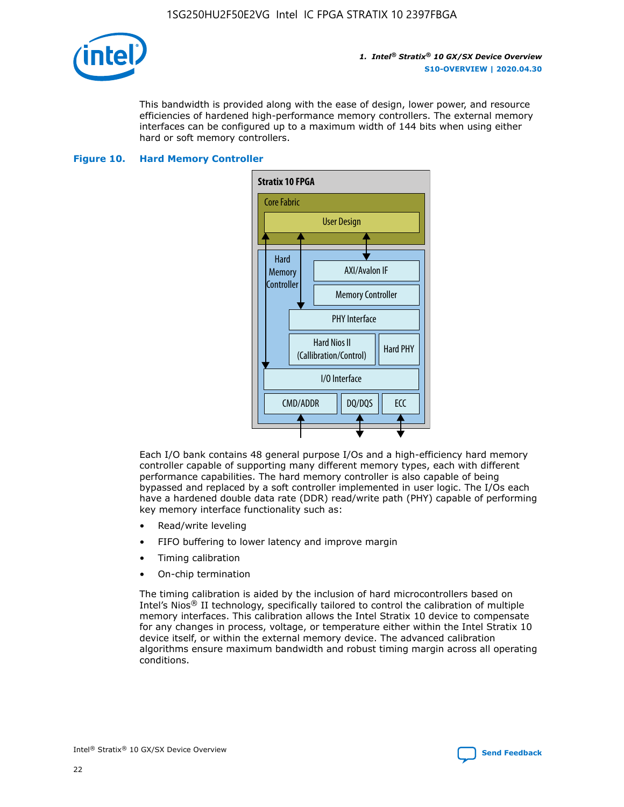

This bandwidth is provided along with the ease of design, lower power, and resource efficiencies of hardened high-performance memory controllers. The external memory interfaces can be configured up to a maximum width of 144 bits when using either hard or soft memory controllers.

#### **Figure 10. Hard Memory Controller**



Each I/O bank contains 48 general purpose I/Os and a high-efficiency hard memory controller capable of supporting many different memory types, each with different performance capabilities. The hard memory controller is also capable of being bypassed and replaced by a soft controller implemented in user logic. The I/Os each have a hardened double data rate (DDR) read/write path (PHY) capable of performing key memory interface functionality such as:

- Read/write leveling
- FIFO buffering to lower latency and improve margin
- Timing calibration
- On-chip termination

The timing calibration is aided by the inclusion of hard microcontrollers based on Intel's Nios® II technology, specifically tailored to control the calibration of multiple memory interfaces. This calibration allows the Intel Stratix 10 device to compensate for any changes in process, voltage, or temperature either within the Intel Stratix 10 device itself, or within the external memory device. The advanced calibration algorithms ensure maximum bandwidth and robust timing margin across all operating conditions.

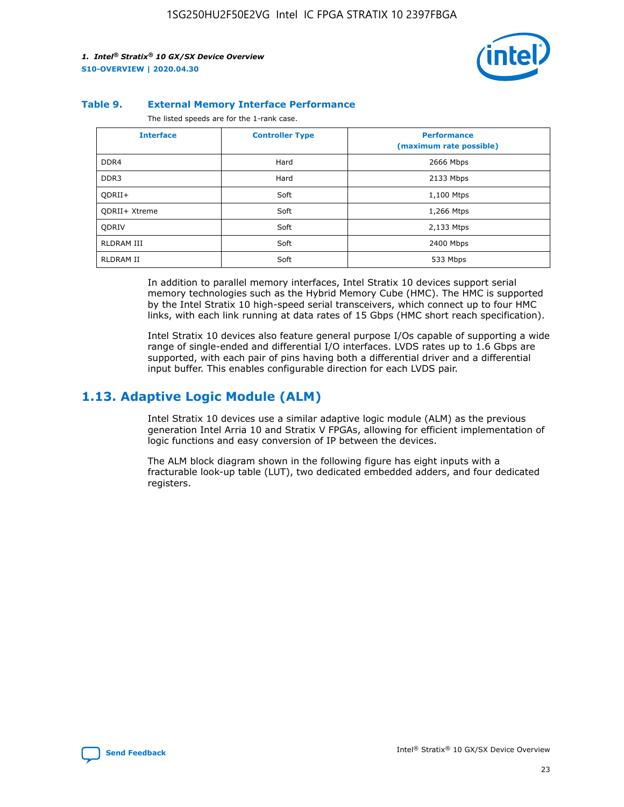

#### **Table 9. External Memory Interface Performance**

The listed speeds are for the 1-rank case.

| <b>Interface</b>     | <b>Controller Type</b> | <b>Performance</b><br>(maximum rate possible) |
|----------------------|------------------------|-----------------------------------------------|
| DDR4                 | Hard                   | 2666 Mbps                                     |
| DDR <sub>3</sub>     | Hard                   | 2133 Mbps                                     |
| QDRII+               | Soft                   | 1,100 Mtps                                    |
| <b>ODRII+ Xtreme</b> | Soft                   | 1,266 Mtps                                    |
| <b>ODRIV</b>         | Soft                   | 2,133 Mtps                                    |
| RLDRAM III           | Soft                   | 2400 Mbps                                     |
| <b>RLDRAM II</b>     | Soft                   | 533 Mbps                                      |

In addition to parallel memory interfaces, Intel Stratix 10 devices support serial memory technologies such as the Hybrid Memory Cube (HMC). The HMC is supported by the Intel Stratix 10 high-speed serial transceivers, which connect up to four HMC links, with each link running at data rates of 15 Gbps (HMC short reach specification).

Intel Stratix 10 devices also feature general purpose I/Os capable of supporting a wide range of single-ended and differential I/O interfaces. LVDS rates up to 1.6 Gbps are supported, with each pair of pins having both a differential driver and a differential input buffer. This enables configurable direction for each LVDS pair.

### **1.13. Adaptive Logic Module (ALM)**

Intel Stratix 10 devices use a similar adaptive logic module (ALM) as the previous generation Intel Arria 10 and Stratix V FPGAs, allowing for efficient implementation of logic functions and easy conversion of IP between the devices.

The ALM block diagram shown in the following figure has eight inputs with a fracturable look-up table (LUT), two dedicated embedded adders, and four dedicated registers.

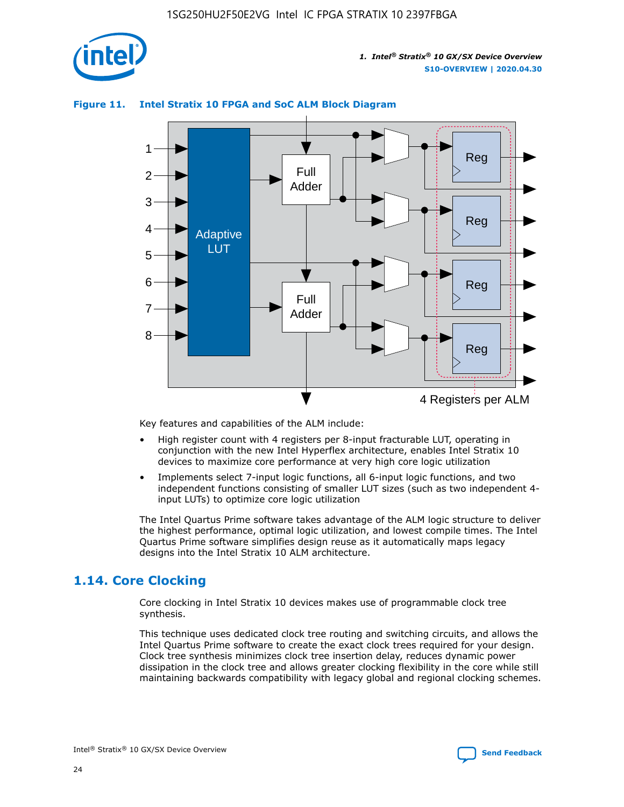

# Reg Reg 1 2 3 4 5 6 7 8 Reg Reg 4 Registers per ALM Full Adder Full Adder Adaptive LUT

#### **Figure 11. Intel Stratix 10 FPGA and SoC ALM Block Diagram**

Key features and capabilities of the ALM include:

- High register count with 4 registers per 8-input fracturable LUT, operating in conjunction with the new Intel Hyperflex architecture, enables Intel Stratix 10 devices to maximize core performance at very high core logic utilization
- Implements select 7-input logic functions, all 6-input logic functions, and two independent functions consisting of smaller LUT sizes (such as two independent 4 input LUTs) to optimize core logic utilization

The Intel Quartus Prime software takes advantage of the ALM logic structure to deliver the highest performance, optimal logic utilization, and lowest compile times. The Intel Quartus Prime software simplifies design reuse as it automatically maps legacy designs into the Intel Stratix 10 ALM architecture.

# **1.14. Core Clocking**

Core clocking in Intel Stratix 10 devices makes use of programmable clock tree synthesis.

This technique uses dedicated clock tree routing and switching circuits, and allows the Intel Quartus Prime software to create the exact clock trees required for your design. Clock tree synthesis minimizes clock tree insertion delay, reduces dynamic power dissipation in the clock tree and allows greater clocking flexibility in the core while still maintaining backwards compatibility with legacy global and regional clocking schemes.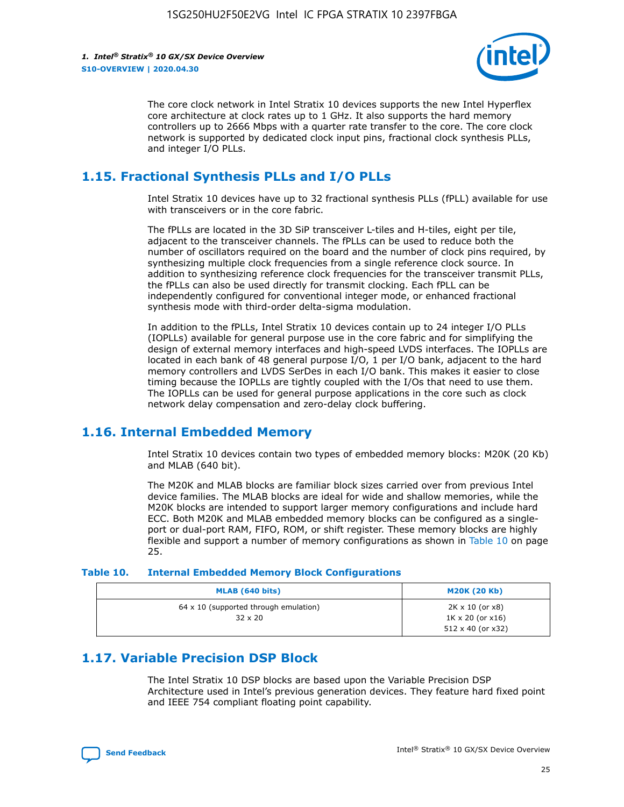

The core clock network in Intel Stratix 10 devices supports the new Intel Hyperflex core architecture at clock rates up to 1 GHz. It also supports the hard memory controllers up to 2666 Mbps with a quarter rate transfer to the core. The core clock network is supported by dedicated clock input pins, fractional clock synthesis PLLs, and integer I/O PLLs.

# **1.15. Fractional Synthesis PLLs and I/O PLLs**

Intel Stratix 10 devices have up to 32 fractional synthesis PLLs (fPLL) available for use with transceivers or in the core fabric.

The fPLLs are located in the 3D SiP transceiver L-tiles and H-tiles, eight per tile, adjacent to the transceiver channels. The fPLLs can be used to reduce both the number of oscillators required on the board and the number of clock pins required, by synthesizing multiple clock frequencies from a single reference clock source. In addition to synthesizing reference clock frequencies for the transceiver transmit PLLs, the fPLLs can also be used directly for transmit clocking. Each fPLL can be independently configured for conventional integer mode, or enhanced fractional synthesis mode with third-order delta-sigma modulation.

In addition to the fPLLs, Intel Stratix 10 devices contain up to 24 integer I/O PLLs (IOPLLs) available for general purpose use in the core fabric and for simplifying the design of external memory interfaces and high-speed LVDS interfaces. The IOPLLs are located in each bank of 48 general purpose I/O, 1 per I/O bank, adjacent to the hard memory controllers and LVDS SerDes in each I/O bank. This makes it easier to close timing because the IOPLLs are tightly coupled with the I/Os that need to use them. The IOPLLs can be used for general purpose applications in the core such as clock network delay compensation and zero-delay clock buffering.

# **1.16. Internal Embedded Memory**

Intel Stratix 10 devices contain two types of embedded memory blocks: M20K (20 Kb) and MLAB (640 bit).

The M20K and MLAB blocks are familiar block sizes carried over from previous Intel device families. The MLAB blocks are ideal for wide and shallow memories, while the M20K blocks are intended to support larger memory configurations and include hard ECC. Both M20K and MLAB embedded memory blocks can be configured as a singleport or dual-port RAM, FIFO, ROM, or shift register. These memory blocks are highly flexible and support a number of memory configurations as shown in Table 10 on page 25.

#### **Table 10. Internal Embedded Memory Block Configurations**

| MLAB (640 bits)                                                | <b>M20K (20 Kb)</b>                                                                    |
|----------------------------------------------------------------|----------------------------------------------------------------------------------------|
| $64 \times 10$ (supported through emulation)<br>$32 \times 20$ | $2K \times 10$ (or $x8$ )<br>$1K \times 20$ (or $x16$ )<br>$512 \times 40$ (or $x32$ ) |

# **1.17. Variable Precision DSP Block**

The Intel Stratix 10 DSP blocks are based upon the Variable Precision DSP Architecture used in Intel's previous generation devices. They feature hard fixed point and IEEE 754 compliant floating point capability.

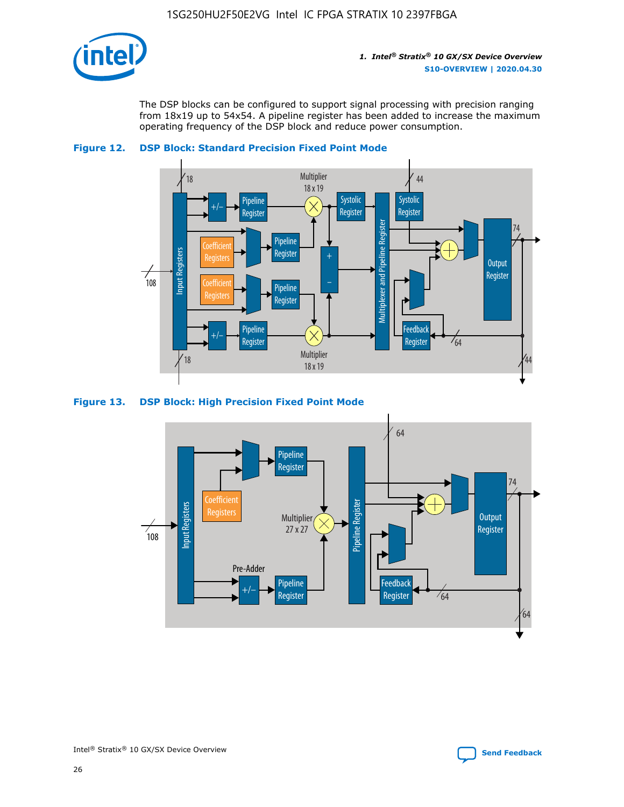

The DSP blocks can be configured to support signal processing with precision ranging from 18x19 up to 54x54. A pipeline register has been added to increase the maximum operating frequency of the DSP block and reduce power consumption.





#### **Figure 13. DSP Block: High Precision Fixed Point Mode**

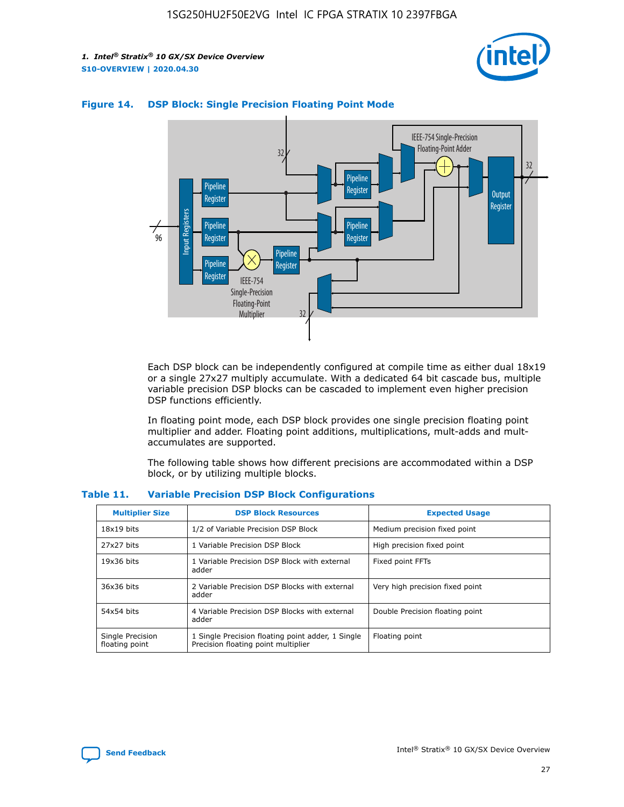



#### **Figure 14. DSP Block: Single Precision Floating Point Mode**

Each DSP block can be independently configured at compile time as either dual 18x19 or a single 27x27 multiply accumulate. With a dedicated 64 bit cascade bus, multiple variable precision DSP blocks can be cascaded to implement even higher precision DSP functions efficiently.

In floating point mode, each DSP block provides one single precision floating point multiplier and adder. Floating point additions, multiplications, mult-adds and multaccumulates are supported.

The following table shows how different precisions are accommodated within a DSP block, or by utilizing multiple blocks.

| <b>Multiplier Size</b>             | <b>DSP Block Resources</b>                                                               | <b>Expected Usage</b>           |
|------------------------------------|------------------------------------------------------------------------------------------|---------------------------------|
| $18x19$ bits                       | 1/2 of Variable Precision DSP Block                                                      | Medium precision fixed point    |
| 27x27 bits                         | 1 Variable Precision DSP Block                                                           | High precision fixed point      |
| $19x36$ bits                       | 1 Variable Precision DSP Block with external<br>adder                                    | Fixed point FFTs                |
| 36x36 bits                         | 2 Variable Precision DSP Blocks with external<br>adder                                   | Very high precision fixed point |
| 54x54 bits                         | 4 Variable Precision DSP Blocks with external<br>adder                                   | Double Precision floating point |
| Single Precision<br>floating point | 1 Single Precision floating point adder, 1 Single<br>Precision floating point multiplier | Floating point                  |

#### **Table 11. Variable Precision DSP Block Configurations**

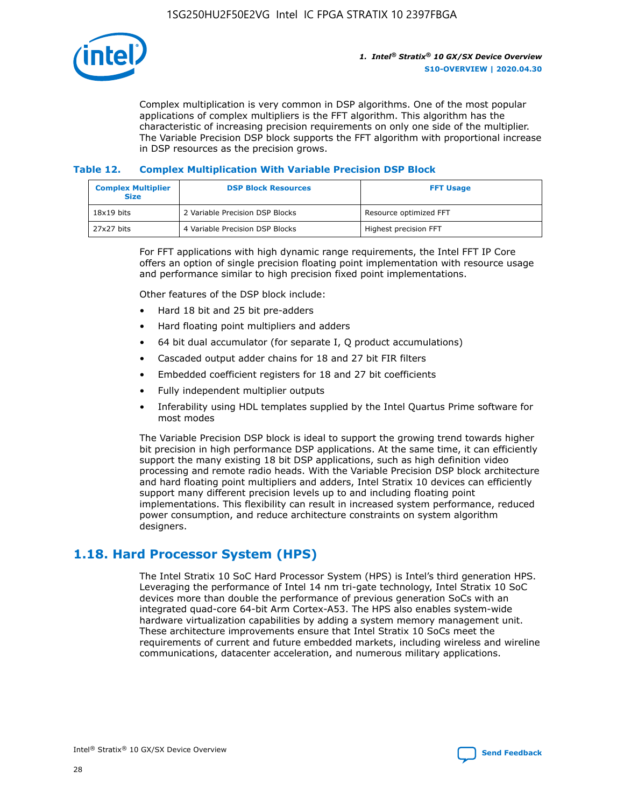

Complex multiplication is very common in DSP algorithms. One of the most popular applications of complex multipliers is the FFT algorithm. This algorithm has the characteristic of increasing precision requirements on only one side of the multiplier. The Variable Precision DSP block supports the FFT algorithm with proportional increase in DSP resources as the precision grows.

#### **Table 12. Complex Multiplication With Variable Precision DSP Block**

| <b>Complex Multiplier</b><br><b>Size</b> | <b>DSP Block Resources</b>      | <b>FFT Usage</b>       |
|------------------------------------------|---------------------------------|------------------------|
| $18x19$ bits                             | 2 Variable Precision DSP Blocks | Resource optimized FFT |
| 27x27 bits                               | 4 Variable Precision DSP Blocks | Highest precision FFT  |

For FFT applications with high dynamic range requirements, the Intel FFT IP Core offers an option of single precision floating point implementation with resource usage and performance similar to high precision fixed point implementations.

Other features of the DSP block include:

- Hard 18 bit and 25 bit pre-adders
- Hard floating point multipliers and adders
- 64 bit dual accumulator (for separate I, Q product accumulations)
- Cascaded output adder chains for 18 and 27 bit FIR filters
- Embedded coefficient registers for 18 and 27 bit coefficients
- Fully independent multiplier outputs
- Inferability using HDL templates supplied by the Intel Quartus Prime software for most modes

The Variable Precision DSP block is ideal to support the growing trend towards higher bit precision in high performance DSP applications. At the same time, it can efficiently support the many existing 18 bit DSP applications, such as high definition video processing and remote radio heads. With the Variable Precision DSP block architecture and hard floating point multipliers and adders, Intel Stratix 10 devices can efficiently support many different precision levels up to and including floating point implementations. This flexibility can result in increased system performance, reduced power consumption, and reduce architecture constraints on system algorithm designers.

# **1.18. Hard Processor System (HPS)**

The Intel Stratix 10 SoC Hard Processor System (HPS) is Intel's third generation HPS. Leveraging the performance of Intel 14 nm tri-gate technology, Intel Stratix 10 SoC devices more than double the performance of previous generation SoCs with an integrated quad-core 64-bit Arm Cortex-A53. The HPS also enables system-wide hardware virtualization capabilities by adding a system memory management unit. These architecture improvements ensure that Intel Stratix 10 SoCs meet the requirements of current and future embedded markets, including wireless and wireline communications, datacenter acceleration, and numerous military applications.

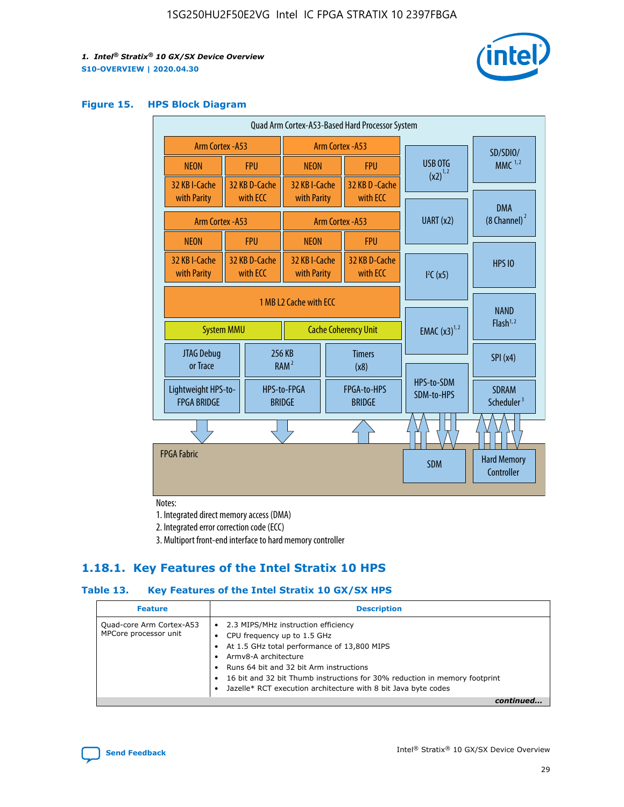

#### **Figure 15. HPS Block Diagram**

| Quad Arm Cortex-A53-Based Hard Processor System |                                      |                           |                              |                             |                              |  |                          |                                        |                                     |
|-------------------------------------------------|--------------------------------------|---------------------------|------------------------------|-----------------------------|------------------------------|--|--------------------------|----------------------------------------|-------------------------------------|
| <b>Arm Cortex - A53</b>                         |                                      |                           | Arm Cortex - A53             |                             |                              |  | SD/SDIO/                 |                                        |                                     |
| <b>NEON</b>                                     |                                      | <b>FPU</b>                | <b>NEON</b>                  |                             | <b>FPU</b>                   |  | USB OTG                  | $MMC$ <sup>1,2</sup>                   |                                     |
| 32 KB I-Cache                                   |                                      | 32 KB D-Cache             | 32 KB I-Cache                |                             | 32 KB D - Cache              |  | $(x2)^{1,2}$             |                                        |                                     |
| with Parity                                     |                                      | with ECC                  | with Parity                  |                             | with ECC                     |  |                          | <b>DMA</b>                             |                                     |
|                                                 | Arm Cortex - A53<br>Arm Cortex - A53 |                           | UART (x2)                    | $(8 \text{ Channel})^2$     |                              |  |                          |                                        |                                     |
| <b>NEON</b>                                     |                                      | <b>FPU</b>                | <b>NEON</b>                  |                             | <b>FPU</b>                   |  |                          |                                        |                                     |
| 32 KB I-Cache<br>with Parity                    |                                      | 32 KB D-Cache<br>with ECC | 32 KB I-Cache<br>with Parity |                             | 32 KB D-Cache<br>with ECC    |  | I <sup>2</sup> C(x5)     | <b>HPS 10</b>                          |                                     |
|                                                 | 1 MB L2 Cache with ECC               |                           |                              |                             |                              |  |                          |                                        |                                     |
| <b>System MMU</b>                               |                                      |                           |                              | <b>Cache Coherency Unit</b> |                              |  |                          | <b>EMAC</b> $(x3)^{1,2}$               | <b>NAND</b><br>Flash <sup>1,2</sup> |
| JTAG Debug<br>or Trace                          |                                      |                           | 256 KB<br>RAM <sup>2</sup>   | <b>Timers</b><br>(x8)       |                              |  |                          | SPI(x4)                                |                                     |
| Lightweight HPS-to-<br><b>FPGA BRIDGE</b>       |                                      |                           | HPS-to-FPGA<br><b>BRIDGE</b> |                             | FPGA-to-HPS<br><b>BRIDGE</b> |  | HPS-to-SDM<br>SDM-to-HPS | <b>SDRAM</b><br>Scheduler <sup>3</sup> |                                     |
|                                                 |                                      |                           |                              |                             |                              |  |                          |                                        |                                     |
| <b>FPGA Fabric</b>                              |                                      |                           |                              |                             |                              |  | <b>SDM</b>               | <b>Hard Memory</b><br>Controller       |                                     |
|                                                 |                                      |                           |                              |                             |                              |  |                          |                                        |                                     |

Notes:

1. Integrated direct memory access (DMA)

2. Integrated error correction code (ECC)

3. Multiport front-end interface to hard memory controller

### **1.18.1. Key Features of the Intel Stratix 10 HPS**

#### **Table 13. Key Features of the Intel Stratix 10 GX/SX HPS**

| <b>Feature</b>                                    | <b>Description</b>                                                                                                                                                                                                                                                                                                                                     |
|---------------------------------------------------|--------------------------------------------------------------------------------------------------------------------------------------------------------------------------------------------------------------------------------------------------------------------------------------------------------------------------------------------------------|
| Quad-core Arm Cortex-A53<br>MPCore processor unit | 2.3 MIPS/MHz instruction efficiency<br>$\bullet$<br>CPU frequency up to 1.5 GHz<br>٠<br>At 1.5 GHz total performance of 13,800 MIPS<br>Army8-A architecture<br>Runs 64 bit and 32 bit Arm instructions<br>16 bit and 32 bit Thumb instructions for 30% reduction in memory footprint<br>Jazelle* RCT execution architecture with 8 bit Java byte codes |
|                                                   |                                                                                                                                                                                                                                                                                                                                                        |

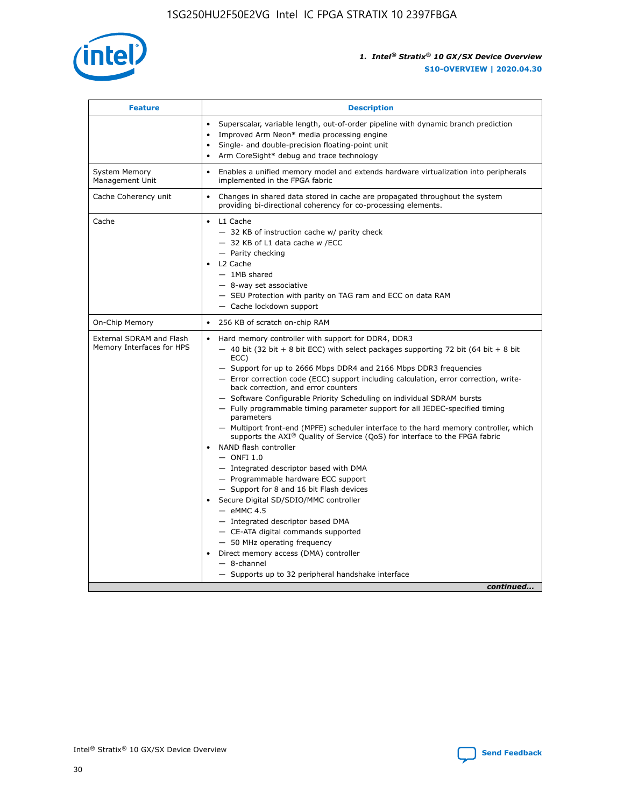

| <b>Feature</b>                                        | <b>Description</b>                                                                                                                                                                                                                                                                                                                                                                                                                                                                                                                                                                                                                                                                                                                                                                                                                                                                                                                                                                                                                                                                                                                                                                                               |  |  |
|-------------------------------------------------------|------------------------------------------------------------------------------------------------------------------------------------------------------------------------------------------------------------------------------------------------------------------------------------------------------------------------------------------------------------------------------------------------------------------------------------------------------------------------------------------------------------------------------------------------------------------------------------------------------------------------------------------------------------------------------------------------------------------------------------------------------------------------------------------------------------------------------------------------------------------------------------------------------------------------------------------------------------------------------------------------------------------------------------------------------------------------------------------------------------------------------------------------------------------------------------------------------------------|--|--|
|                                                       | Superscalar, variable length, out-of-order pipeline with dynamic branch prediction<br>Improved Arm Neon* media processing engine<br>Single- and double-precision floating-point unit<br>Arm CoreSight* debug and trace technology<br>٠                                                                                                                                                                                                                                                                                                                                                                                                                                                                                                                                                                                                                                                                                                                                                                                                                                                                                                                                                                           |  |  |
| <b>System Memory</b><br>Management Unit               | Enables a unified memory model and extends hardware virtualization into peripherals<br>implemented in the FPGA fabric                                                                                                                                                                                                                                                                                                                                                                                                                                                                                                                                                                                                                                                                                                                                                                                                                                                                                                                                                                                                                                                                                            |  |  |
| Cache Coherency unit                                  | Changes in shared data stored in cache are propagated throughout the system<br>$\bullet$<br>providing bi-directional coherency for co-processing elements.                                                                                                                                                                                                                                                                                                                                                                                                                                                                                                                                                                                                                                                                                                                                                                                                                                                                                                                                                                                                                                                       |  |  |
| Cache                                                 | L1 Cache<br>$\bullet$<br>- 32 KB of instruction cache w/ parity check<br>- 32 KB of L1 data cache w /ECC<br>- Parity checking<br>L <sub>2</sub> Cache<br>$-$ 1MB shared<br>$-$ 8-way set associative<br>- SEU Protection with parity on TAG ram and ECC on data RAM<br>- Cache lockdown support                                                                                                                                                                                                                                                                                                                                                                                                                                                                                                                                                                                                                                                                                                                                                                                                                                                                                                                  |  |  |
| On-Chip Memory                                        | 256 KB of scratch on-chip RAM                                                                                                                                                                                                                                                                                                                                                                                                                                                                                                                                                                                                                                                                                                                                                                                                                                                                                                                                                                                                                                                                                                                                                                                    |  |  |
| External SDRAM and Flash<br>Memory Interfaces for HPS | Hard memory controller with support for DDR4, DDR3<br>$\bullet$<br>$-$ 40 bit (32 bit + 8 bit ECC) with select packages supporting 72 bit (64 bit + 8 bit<br>ECC)<br>- Support for up to 2666 Mbps DDR4 and 2166 Mbps DDR3 frequencies<br>- Error correction code (ECC) support including calculation, error correction, write-<br>back correction, and error counters<br>- Software Configurable Priority Scheduling on individual SDRAM bursts<br>- Fully programmable timing parameter support for all JEDEC-specified timing<br>parameters<br>- Multiport front-end (MPFE) scheduler interface to the hard memory controller, which<br>supports the $AXI^{\circledR}$ Quality of Service (QoS) for interface to the FPGA fabric<br>NAND flash controller<br>$-$ ONFI 1.0<br>- Integrated descriptor based with DMA<br>- Programmable hardware ECC support<br>- Support for 8 and 16 bit Flash devices<br>Secure Digital SD/SDIO/MMC controller<br>$-$ eMMC 4.5<br>- Integrated descriptor based DMA<br>- CE-ATA digital commands supported<br>- 50 MHz operating frequency<br>Direct memory access (DMA) controller<br>٠<br>$-$ 8-channel<br>- Supports up to 32 peripheral handshake interface<br>continued |  |  |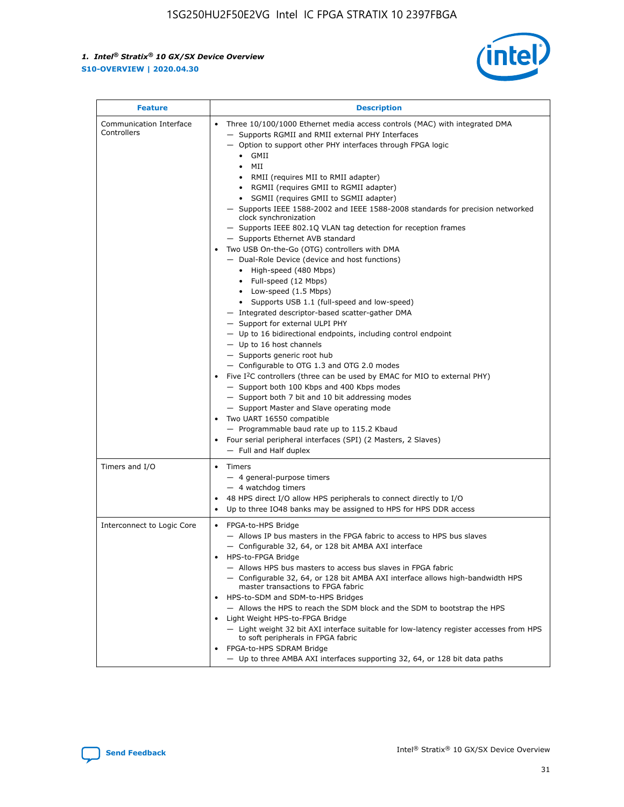

| <b>Feature</b>                         | <b>Description</b>                                                                                                                                                                                                                                                                                                                                                                                                                                                                                                                                                                                                                                                                                                                                                                                                                                                                                                                                                                                                                                                                                                                                                                                                                                                                                                                                                                                                                                                                                                  |  |
|----------------------------------------|---------------------------------------------------------------------------------------------------------------------------------------------------------------------------------------------------------------------------------------------------------------------------------------------------------------------------------------------------------------------------------------------------------------------------------------------------------------------------------------------------------------------------------------------------------------------------------------------------------------------------------------------------------------------------------------------------------------------------------------------------------------------------------------------------------------------------------------------------------------------------------------------------------------------------------------------------------------------------------------------------------------------------------------------------------------------------------------------------------------------------------------------------------------------------------------------------------------------------------------------------------------------------------------------------------------------------------------------------------------------------------------------------------------------------------------------------------------------------------------------------------------------|--|
| Communication Interface<br>Controllers | Three 10/100/1000 Ethernet media access controls (MAC) with integrated DMA<br>$\bullet$<br>- Supports RGMII and RMII external PHY Interfaces<br>- Option to support other PHY interfaces through FPGA logic<br>GMII<br>$\bullet$<br>MII<br>$\bullet$<br>• RMII (requires MII to RMII adapter)<br>• RGMII (requires GMII to RGMII adapter)<br>• SGMII (requires GMII to SGMII adapter)<br>- Supports IEEE 1588-2002 and IEEE 1588-2008 standards for precision networked<br>clock synchronization<br>- Supports IEEE 802.1Q VLAN tag detection for reception frames<br>- Supports Ethernet AVB standard<br>Two USB On-the-Go (OTG) controllers with DMA<br>- Dual-Role Device (device and host functions)<br>• High-speed (480 Mbps)<br>• Full-speed (12 Mbps)<br>• Low-speed (1.5 Mbps)<br>• Supports USB 1.1 (full-speed and low-speed)<br>- Integrated descriptor-based scatter-gather DMA<br>- Support for external ULPI PHY<br>- Up to 16 bidirectional endpoints, including control endpoint<br>$-$ Up to 16 host channels<br>- Supports generic root hub<br>- Configurable to OTG 1.3 and OTG 2.0 modes<br>Five $I^2C$ controllers (three can be used by EMAC for MIO to external PHY)<br>- Support both 100 Kbps and 400 Kbps modes<br>- Support both 7 bit and 10 bit addressing modes<br>- Support Master and Slave operating mode<br>Two UART 16550 compatible<br>- Programmable baud rate up to 115.2 Kbaud<br>• Four serial peripheral interfaces (SPI) (2 Masters, 2 Slaves)<br>- Full and Half duplex |  |
| Timers and I/O                         | $\bullet$ Timers<br>- 4 general-purpose timers<br>$-4$ watchdog timers<br>48 HPS direct I/O allow HPS peripherals to connect directly to I/O<br>Up to three IO48 banks may be assigned to HPS for HPS DDR access                                                                                                                                                                                                                                                                                                                                                                                                                                                                                                                                                                                                                                                                                                                                                                                                                                                                                                                                                                                                                                                                                                                                                                                                                                                                                                    |  |
| Interconnect to Logic Core             | • FPGA-to-HPS Bridge<br>- Allows IP bus masters in the FPGA fabric to access to HPS bus slaves<br>- Configurable 32, 64, or 128 bit AMBA AXI interface<br>HPS-to-FPGA Bridge<br>- Allows HPS bus masters to access bus slaves in FPGA fabric<br>- Configurable 32, 64, or 128 bit AMBA AXI interface allows high-bandwidth HPS<br>master transactions to FPGA fabric<br>HPS-to-SDM and SDM-to-HPS Bridges<br>- Allows the HPS to reach the SDM block and the SDM to bootstrap the HPS<br>Light Weight HPS-to-FPGA Bridge<br>- Light weight 32 bit AXI interface suitable for low-latency register accesses from HPS<br>to soft peripherals in FPGA fabric<br>FPGA-to-HPS SDRAM Bridge<br>- Up to three AMBA AXI interfaces supporting 32, 64, or 128 bit data paths                                                                                                                                                                                                                                                                                                                                                                                                                                                                                                                                                                                                                                                                                                                                                 |  |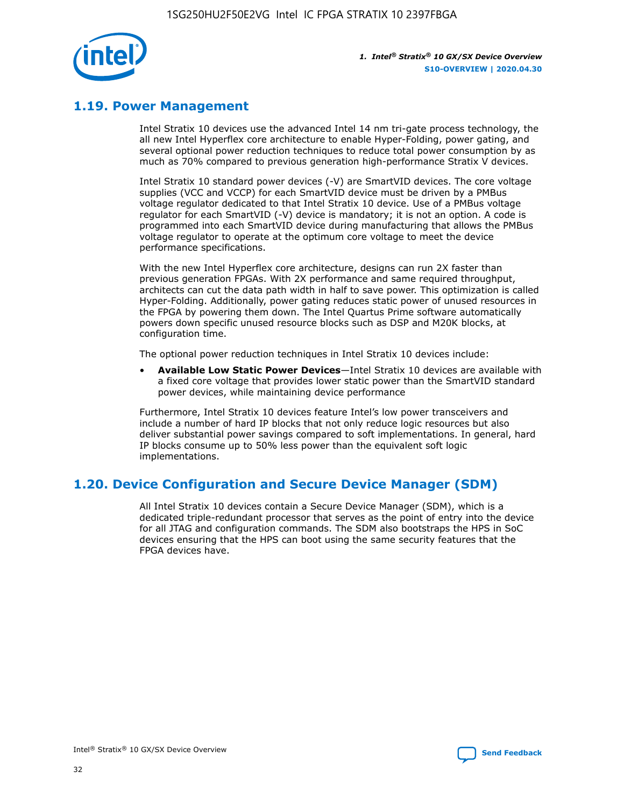

# **1.19. Power Management**

Intel Stratix 10 devices use the advanced Intel 14 nm tri-gate process technology, the all new Intel Hyperflex core architecture to enable Hyper-Folding, power gating, and several optional power reduction techniques to reduce total power consumption by as much as 70% compared to previous generation high-performance Stratix V devices.

Intel Stratix 10 standard power devices (-V) are SmartVID devices. The core voltage supplies (VCC and VCCP) for each SmartVID device must be driven by a PMBus voltage regulator dedicated to that Intel Stratix 10 device. Use of a PMBus voltage regulator for each SmartVID (-V) device is mandatory; it is not an option. A code is programmed into each SmartVID device during manufacturing that allows the PMBus voltage regulator to operate at the optimum core voltage to meet the device performance specifications.

With the new Intel Hyperflex core architecture, designs can run 2X faster than previous generation FPGAs. With 2X performance and same required throughput, architects can cut the data path width in half to save power. This optimization is called Hyper-Folding. Additionally, power gating reduces static power of unused resources in the FPGA by powering them down. The Intel Quartus Prime software automatically powers down specific unused resource blocks such as DSP and M20K blocks, at configuration time.

The optional power reduction techniques in Intel Stratix 10 devices include:

• **Available Low Static Power Devices**—Intel Stratix 10 devices are available with a fixed core voltage that provides lower static power than the SmartVID standard power devices, while maintaining device performance

Furthermore, Intel Stratix 10 devices feature Intel's low power transceivers and include a number of hard IP blocks that not only reduce logic resources but also deliver substantial power savings compared to soft implementations. In general, hard IP blocks consume up to 50% less power than the equivalent soft logic implementations.

# **1.20. Device Configuration and Secure Device Manager (SDM)**

All Intel Stratix 10 devices contain a Secure Device Manager (SDM), which is a dedicated triple-redundant processor that serves as the point of entry into the device for all JTAG and configuration commands. The SDM also bootstraps the HPS in SoC devices ensuring that the HPS can boot using the same security features that the FPGA devices have.

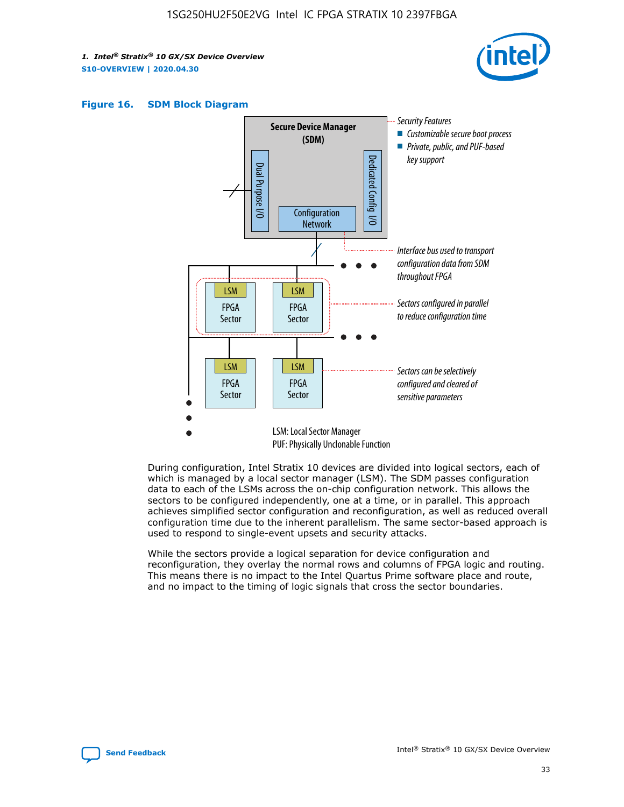





During configuration, Intel Stratix 10 devices are divided into logical sectors, each of which is managed by a local sector manager (LSM). The SDM passes configuration data to each of the LSMs across the on-chip configuration network. This allows the sectors to be configured independently, one at a time, or in parallel. This approach achieves simplified sector configuration and reconfiguration, as well as reduced overall configuration time due to the inherent parallelism. The same sector-based approach is used to respond to single-event upsets and security attacks.

While the sectors provide a logical separation for device configuration and reconfiguration, they overlay the normal rows and columns of FPGA logic and routing. This means there is no impact to the Intel Quartus Prime software place and route, and no impact to the timing of logic signals that cross the sector boundaries.

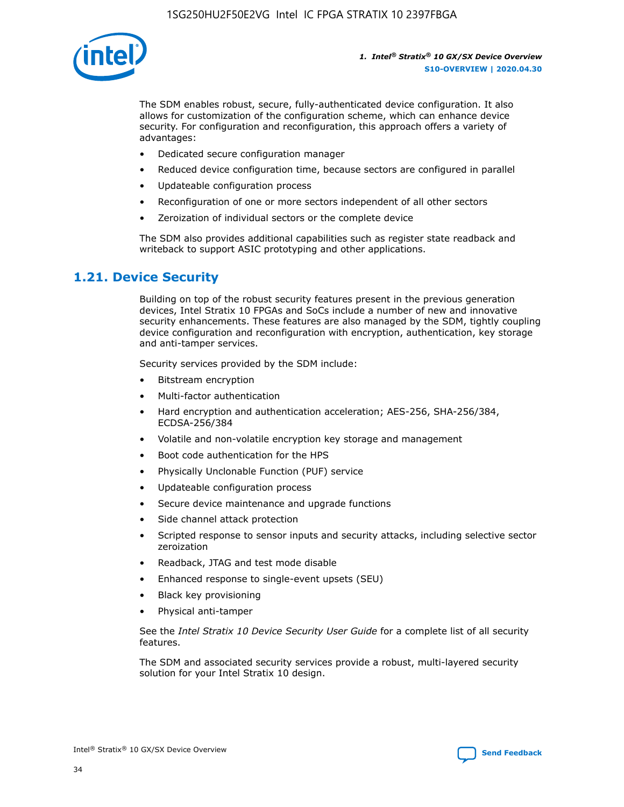

The SDM enables robust, secure, fully-authenticated device configuration. It also allows for customization of the configuration scheme, which can enhance device security. For configuration and reconfiguration, this approach offers a variety of advantages:

- Dedicated secure configuration manager
- Reduced device configuration time, because sectors are configured in parallel
- Updateable configuration process
- Reconfiguration of one or more sectors independent of all other sectors
- Zeroization of individual sectors or the complete device

The SDM also provides additional capabilities such as register state readback and writeback to support ASIC prototyping and other applications.

### **1.21. Device Security**

Building on top of the robust security features present in the previous generation devices, Intel Stratix 10 FPGAs and SoCs include a number of new and innovative security enhancements. These features are also managed by the SDM, tightly coupling device configuration and reconfiguration with encryption, authentication, key storage and anti-tamper services.

Security services provided by the SDM include:

- Bitstream encryption
- Multi-factor authentication
- Hard encryption and authentication acceleration; AES-256, SHA-256/384, ECDSA-256/384
- Volatile and non-volatile encryption key storage and management
- Boot code authentication for the HPS
- Physically Unclonable Function (PUF) service
- Updateable configuration process
- Secure device maintenance and upgrade functions
- Side channel attack protection
- Scripted response to sensor inputs and security attacks, including selective sector zeroization
- Readback, JTAG and test mode disable
- Enhanced response to single-event upsets (SEU)
- Black key provisioning
- Physical anti-tamper

See the *Intel Stratix 10 Device Security User Guide* for a complete list of all security features.

The SDM and associated security services provide a robust, multi-layered security solution for your Intel Stratix 10 design.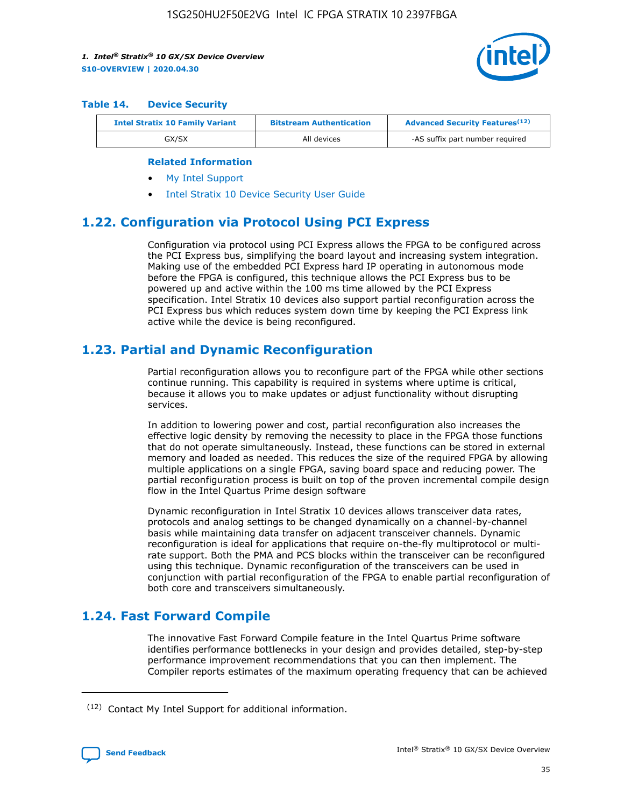

#### **Table 14. Device Security**

| <b>Intel Stratix 10 Family Variant</b> | <b>Bitstream Authentication</b> | <b>Advanced Security Features</b> <sup>(12)</sup> |  |  |
|----------------------------------------|---------------------------------|---------------------------------------------------|--|--|
| GX/SX                                  | All devices                     | -AS suffix part number required                   |  |  |

#### **Related Information**

- [My Intel Support](https://www.intel.com/content/www/us/en/programmable/my-intel/mal-home.html)
- [Intel Stratix 10 Device Security User Guide](https://www.intel.com/content/www/us/en/programmable/documentation/ndq1483601370898.html#wcd1483611014402)

# **1.22. Configuration via Protocol Using PCI Express**

Configuration via protocol using PCI Express allows the FPGA to be configured across the PCI Express bus, simplifying the board layout and increasing system integration. Making use of the embedded PCI Express hard IP operating in autonomous mode before the FPGA is configured, this technique allows the PCI Express bus to be powered up and active within the 100 ms time allowed by the PCI Express specification. Intel Stratix 10 devices also support partial reconfiguration across the PCI Express bus which reduces system down time by keeping the PCI Express link active while the device is being reconfigured.

# **1.23. Partial and Dynamic Reconfiguration**

Partial reconfiguration allows you to reconfigure part of the FPGA while other sections continue running. This capability is required in systems where uptime is critical, because it allows you to make updates or adjust functionality without disrupting services.

In addition to lowering power and cost, partial reconfiguration also increases the effective logic density by removing the necessity to place in the FPGA those functions that do not operate simultaneously. Instead, these functions can be stored in external memory and loaded as needed. This reduces the size of the required FPGA by allowing multiple applications on a single FPGA, saving board space and reducing power. The partial reconfiguration process is built on top of the proven incremental compile design flow in the Intel Quartus Prime design software

Dynamic reconfiguration in Intel Stratix 10 devices allows transceiver data rates, protocols and analog settings to be changed dynamically on a channel-by-channel basis while maintaining data transfer on adjacent transceiver channels. Dynamic reconfiguration is ideal for applications that require on-the-fly multiprotocol or multirate support. Both the PMA and PCS blocks within the transceiver can be reconfigured using this technique. Dynamic reconfiguration of the transceivers can be used in conjunction with partial reconfiguration of the FPGA to enable partial reconfiguration of both core and transceivers simultaneously.

# **1.24. Fast Forward Compile**

The innovative Fast Forward Compile feature in the Intel Quartus Prime software identifies performance bottlenecks in your design and provides detailed, step-by-step performance improvement recommendations that you can then implement. The Compiler reports estimates of the maximum operating frequency that can be achieved

<sup>(12)</sup> Contact My Intel Support for additional information.

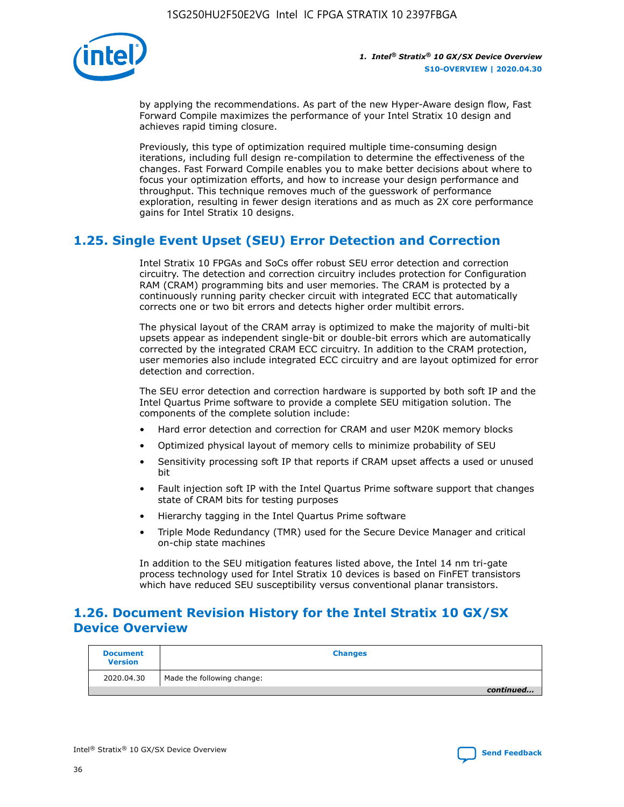

by applying the recommendations. As part of the new Hyper-Aware design flow, Fast Forward Compile maximizes the performance of your Intel Stratix 10 design and achieves rapid timing closure.

Previously, this type of optimization required multiple time-consuming design iterations, including full design re-compilation to determine the effectiveness of the changes. Fast Forward Compile enables you to make better decisions about where to focus your optimization efforts, and how to increase your design performance and throughput. This technique removes much of the guesswork of performance exploration, resulting in fewer design iterations and as much as 2X core performance gains for Intel Stratix 10 designs.

# **1.25. Single Event Upset (SEU) Error Detection and Correction**

Intel Stratix 10 FPGAs and SoCs offer robust SEU error detection and correction circuitry. The detection and correction circuitry includes protection for Configuration RAM (CRAM) programming bits and user memories. The CRAM is protected by a continuously running parity checker circuit with integrated ECC that automatically corrects one or two bit errors and detects higher order multibit errors.

The physical layout of the CRAM array is optimized to make the majority of multi-bit upsets appear as independent single-bit or double-bit errors which are automatically corrected by the integrated CRAM ECC circuitry. In addition to the CRAM protection, user memories also include integrated ECC circuitry and are layout optimized for error detection and correction.

The SEU error detection and correction hardware is supported by both soft IP and the Intel Quartus Prime software to provide a complete SEU mitigation solution. The components of the complete solution include:

- Hard error detection and correction for CRAM and user M20K memory blocks
- Optimized physical layout of memory cells to minimize probability of SEU
- Sensitivity processing soft IP that reports if CRAM upset affects a used or unused bit
- Fault injection soft IP with the Intel Quartus Prime software support that changes state of CRAM bits for testing purposes
- Hierarchy tagging in the Intel Quartus Prime software
- Triple Mode Redundancy (TMR) used for the Secure Device Manager and critical on-chip state machines

In addition to the SEU mitigation features listed above, the Intel 14 nm tri-gate process technology used for Intel Stratix 10 devices is based on FinFET transistors which have reduced SEU susceptibility versus conventional planar transistors.

# **1.26. Document Revision History for the Intel Stratix 10 GX/SX Device Overview**

| <b>Document</b><br><b>Version</b> | <b>Changes</b>             |
|-----------------------------------|----------------------------|
| 2020.04.30                        | Made the following change: |
|                                   | continued                  |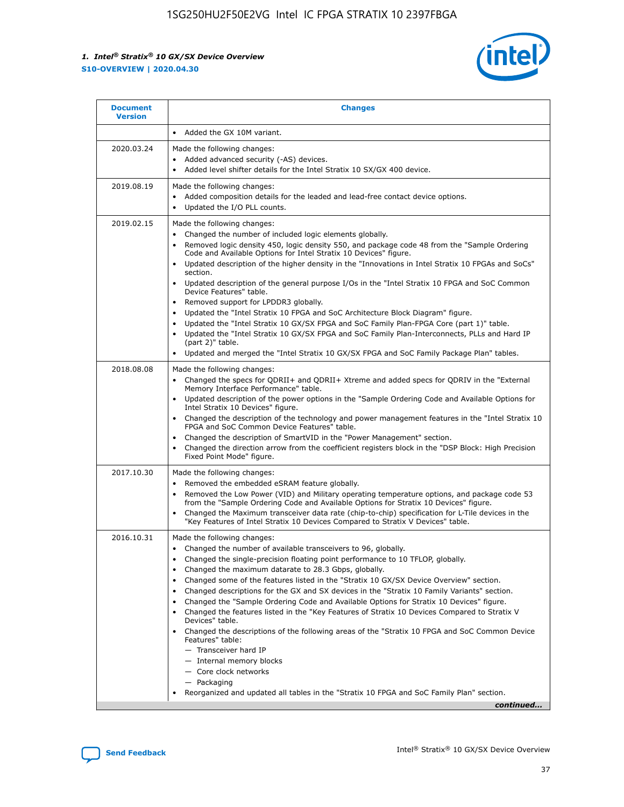

| • Added the GX 10M variant.<br>Made the following changes:<br>Added advanced security (-AS) devices.<br>$\bullet$<br>Added level shifter details for the Intel Stratix 10 SX/GX 400 device.<br>$\bullet$<br>Made the following changes:<br>Added composition details for the leaded and lead-free contact device options.                                                                                                                                                                                                                                                                                                                                                                                                                                                                                                                                                                                                                                                                                                     |
|-------------------------------------------------------------------------------------------------------------------------------------------------------------------------------------------------------------------------------------------------------------------------------------------------------------------------------------------------------------------------------------------------------------------------------------------------------------------------------------------------------------------------------------------------------------------------------------------------------------------------------------------------------------------------------------------------------------------------------------------------------------------------------------------------------------------------------------------------------------------------------------------------------------------------------------------------------------------------------------------------------------------------------|
|                                                                                                                                                                                                                                                                                                                                                                                                                                                                                                                                                                                                                                                                                                                                                                                                                                                                                                                                                                                                                               |
|                                                                                                                                                                                                                                                                                                                                                                                                                                                                                                                                                                                                                                                                                                                                                                                                                                                                                                                                                                                                                               |
| Updated the I/O PLL counts.<br>$\bullet$                                                                                                                                                                                                                                                                                                                                                                                                                                                                                                                                                                                                                                                                                                                                                                                                                                                                                                                                                                                      |
| Made the following changes:<br>Changed the number of included logic elements globally.<br>$\bullet$<br>Removed logic density 450, logic density 550, and package code 48 from the "Sample Ordering<br>$\bullet$<br>Code and Available Options for Intel Stratix 10 Devices" figure.<br>Updated description of the higher density in the "Innovations in Intel Stratix 10 FPGAs and SoCs"<br>section.<br>Updated description of the general purpose I/Os in the "Intel Stratix 10 FPGA and SoC Common<br>$\bullet$<br>Device Features" table.<br>Removed support for LPDDR3 globally.<br>٠<br>Updated the "Intel Stratix 10 FPGA and SoC Architecture Block Diagram" figure.<br>Updated the "Intel Stratix 10 GX/SX FPGA and SoC Family Plan-FPGA Core (part 1)" table.<br>$\bullet$<br>Updated the "Intel Stratix 10 GX/SX FPGA and SoC Family Plan-Interconnects, PLLs and Hard IP<br>$\bullet$<br>(part 2)" table.<br>Updated and merged the "Intel Stratix 10 GX/SX FPGA and SoC Family Package Plan" tables.<br>$\bullet$ |
| Made the following changes:<br>Changed the specs for ODRII+ and ODRII+ Xtreme and added specs for ODRIV in the "External<br>$\bullet$<br>Memory Interface Performance" table.<br>Updated description of the power options in the "Sample Ordering Code and Available Options for<br>Intel Stratix 10 Devices" figure.<br>Changed the description of the technology and power management features in the "Intel Stratix 10<br>FPGA and SoC Common Device Features" table.<br>Changed the description of SmartVID in the "Power Management" section.<br>Changed the direction arrow from the coefficient registers block in the "DSP Block: High Precision<br>Fixed Point Mode" figure.                                                                                                                                                                                                                                                                                                                                         |
| Made the following changes:<br>Removed the embedded eSRAM feature globally.<br>$\bullet$<br>Removed the Low Power (VID) and Military operating temperature options, and package code 53<br>$\bullet$<br>from the "Sample Ordering Code and Available Options for Stratix 10 Devices" figure.<br>Changed the Maximum transceiver data rate (chip-to-chip) specification for L-Tile devices in the<br>٠<br>"Key Features of Intel Stratix 10 Devices Compared to Stratix V Devices" table.                                                                                                                                                                                                                                                                                                                                                                                                                                                                                                                                      |
| Made the following changes:<br>• Changed the number of available transceivers to 96, globally.<br>Changed the single-precision floating point performance to 10 TFLOP, globally.<br>Changed the maximum datarate to 28.3 Gbps, globally.<br>Changed some of the features listed in the "Stratix 10 GX/SX Device Overview" section.<br>٠<br>Changed descriptions for the GX and SX devices in the "Stratix 10 Family Variants" section.<br>٠<br>Changed the "Sample Ordering Code and Available Options for Stratix 10 Devices" figure.<br>٠<br>Changed the features listed in the "Key Features of Stratix 10 Devices Compared to Stratix V<br>٠<br>Devices" table.<br>Changed the descriptions of the following areas of the "Stratix 10 FPGA and SoC Common Device<br>Features" table:<br>- Transceiver hard IP<br>- Internal memory blocks<br>- Core clock networks<br>- Packaging<br>Reorganized and updated all tables in the "Stratix 10 FPGA and SoC Family Plan" section.<br>continued                                |
|                                                                                                                                                                                                                                                                                                                                                                                                                                                                                                                                                                                                                                                                                                                                                                                                                                                                                                                                                                                                                               |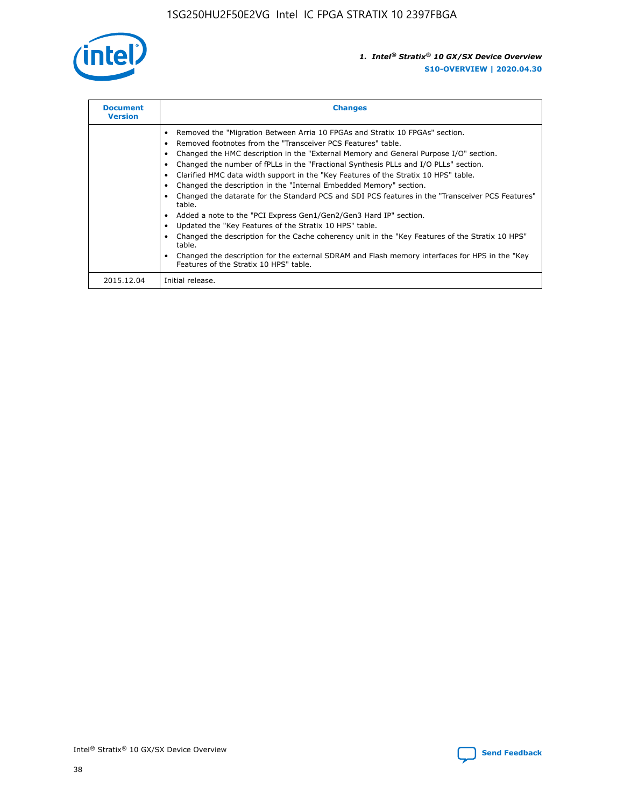

| <b>Document</b><br><b>Version</b> | <b>Changes</b>                                                                                                                                                                                                                                                                                                                                                                                                                                                                                                                                                                                                                                                                                                                                                                                                                                                                                                                                                                                     |
|-----------------------------------|----------------------------------------------------------------------------------------------------------------------------------------------------------------------------------------------------------------------------------------------------------------------------------------------------------------------------------------------------------------------------------------------------------------------------------------------------------------------------------------------------------------------------------------------------------------------------------------------------------------------------------------------------------------------------------------------------------------------------------------------------------------------------------------------------------------------------------------------------------------------------------------------------------------------------------------------------------------------------------------------------|
|                                   | Removed the "Migration Between Arria 10 FPGAs and Stratix 10 FPGAs" section.<br>Removed footnotes from the "Transceiver PCS Features" table.<br>Changed the HMC description in the "External Memory and General Purpose I/O" section.<br>Changed the number of fPLLs in the "Fractional Synthesis PLLs and I/O PLLs" section.<br>Clarified HMC data width support in the "Key Features of the Stratix 10 HPS" table.<br>Changed the description in the "Internal Embedded Memory" section.<br>Changed the datarate for the Standard PCS and SDI PCS features in the "Transceiver PCS Features"<br>table.<br>Added a note to the "PCI Express Gen1/Gen2/Gen3 Hard IP" section.<br>Updated the "Key Features of the Stratix 10 HPS" table.<br>Changed the description for the Cache coherency unit in the "Key Features of the Stratix 10 HPS"<br>table.<br>Changed the description for the external SDRAM and Flash memory interfaces for HPS in the "Key<br>Features of the Stratix 10 HPS" table. |
| 2015.12.04                        | Initial release.                                                                                                                                                                                                                                                                                                                                                                                                                                                                                                                                                                                                                                                                                                                                                                                                                                                                                                                                                                                   |